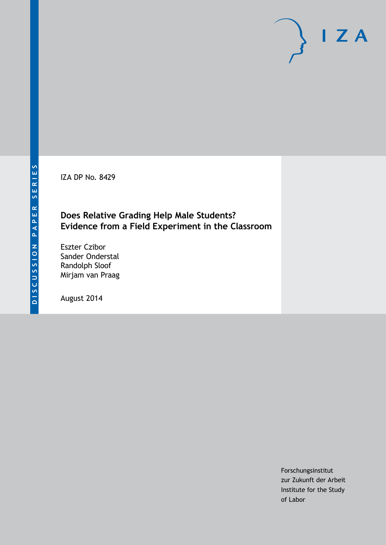IZA DP No. 8429

## **Does Relative Grading Help Male Students? Evidence from a Field Experiment in the Classroom**

Eszter Czibor Sander Onderstal Randolph Sloof Mirjam van Praag

August 2014

Forschungsinstitut zur Zukunft der Arbeit Institute for the Study of Labor

 $I Z A$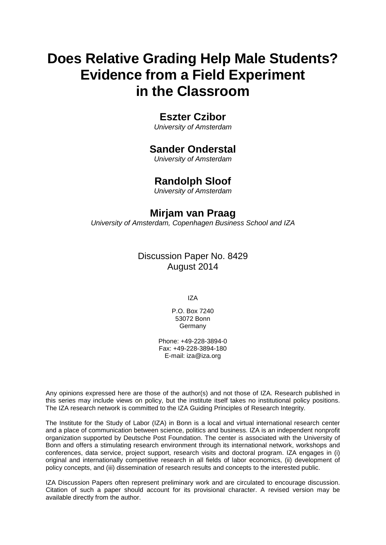# **Does Relative Grading Help Male Students? Evidence from a Field Experiment in the Classroom**

## **Eszter Czibor**

*University of Amsterdam*

## **Sander Onderstal**

*University of Amsterdam*

## **Randolph Sloof**

*University of Amsterdam*

## **Mirjam van Praag**

*University of Amsterdam, Copenhagen Business School and IZA*

## Discussion Paper No. 8429 August 2014

IZA

P.O. Box 7240 53072 Bonn Germany

Phone: +49-228-3894-0 Fax: +49-228-3894-180 E-mail: [iza@iza.org](mailto:iza@iza.org)

Any opinions expressed here are those of the author(s) and not those of IZA. Research published in this series may include views on policy, but the institute itself takes no institutional policy positions. The IZA research network is committed to the IZA Guiding Principles of Research Integrity.

The Institute for the Study of Labor (IZA) in Bonn is a local and virtual international research center and a place of communication between science, politics and business. IZA is an independent nonprofit organization supported by Deutsche Post Foundation. The center is associated with the University of Bonn and offers a stimulating research environment through its international network, workshops and conferences, data service, project support, research visits and doctoral program. IZA engages in (i) original and internationally competitive research in all fields of labor economics, (ii) development of policy concepts, and (iii) dissemination of research results and concepts to the interested public.

<span id="page-1-0"></span>IZA Discussion Papers often represent preliminary work and are circulated to encourage discussion. Citation of such a paper should account for its provisional character. A revised version may be available directly from the author.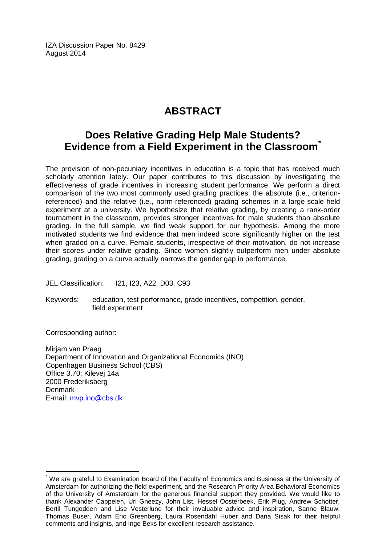IZA Discussion Paper No. 8429 August 2014

## **ABSTRACT**

## **Does Relative Grading Help Male Students? Evidence from a Field Experiment in the Classroom[\\*](#page-1-0)**

The provision of non-pecuniary incentives in education is a topic that has received much scholarly attention lately. Our paper contributes to this discussion by investigating the effectiveness of grade incentives in increasing student performance. We perform a direct comparison of the two most commonly used grading practices: the absolute (i.e., criterionreferenced) and the relative (i.e., norm-referenced) grading schemes in a large-scale field experiment at a university. We hypothesize that relative grading, by creating a rank-order tournament in the classroom, provides stronger incentives for male students than absolute grading. In the full sample, we find weak support for our hypothesis. Among the more motivated students we find evidence that men indeed score significantly higher on the test when graded on a curve. Female students, irrespective of their motivation, do not increase their scores under relative grading. Since women slightly outperform men under absolute grading, grading on a curve actually narrows the gender gap in performance.

JEL Classification: I21, I23, A22, D03, C93

Keywords: education, test performance, grade incentives, competition, gender, field experiment

Corresponding author:

Mirjam van Praag Department of Innovation and Organizational Economics (INO) Copenhagen Business School (CBS) Office 3.70; Kilevej 14a 2000 Frederiksberg **Denmark** E-mail: [mvp.ino@cbs.dk](mailto:mvp.ino@cbs.dk)

We are grateful to Examination Board of the Faculty of Economics and Business at the University of Amsterdam for authorizing the field experiment, and the Research Priority Area Behavioral Economics of the University of Amsterdam for the generous financial support they provided. We would like to thank Alexander Cappelen, Uri Gneezy, John List, Hessel Oosterbeek, Erik Plug, Andrew Schotter, Bertil Tungodden and Lise Vesterlund for their invaluable advice and inspiration, Sanne Blauw, Thomas Buser, Adam Eric Greenberg, Laura Rosendahl Huber and Dana Sisak for their helpful comments and insights, and Inge Beks for excellent research assistance.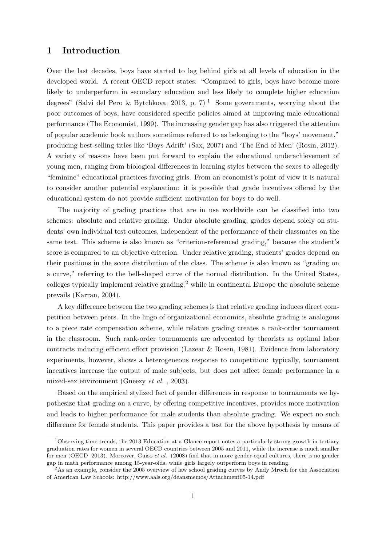### 1 Introduction

Over the last decades, boys have started to lag behind girls at all levels of education in the developed world. A recent OECD report states: "Compared to girls, boys have become more likely to underperform in secondary education and less likely to complete higher education degrees" [\(Salvi del Pero & Bytchkova, 2013,](#page-28-0) p. 7).<sup>[1](#page--1-0)</sup> Some governments, worrying about the poor outcomes of boys, have considered specific policies aimed at improving male educational performance [\(The Economist, 1999\)](#page-29-0). The increasing gender gap has also triggered the attention of popular academic book authors sometimes referred to as belonging to the "boys' movement," producing best-selling titles like 'Boys Adrift' [\(Sax, 2007\)](#page-29-1) and 'The End of Men' [\(Rosin, 2012\)](#page-28-1). A variety of reasons have been put forward to explain the educational underachievement of young men, ranging from biological differences in learning styles between the sexes to allegedly "feminine" educational practices favoring girls. From an economist's point of view it is natural to consider another potential explanation: it is possible that grade incentives offered by the educational system do not provide sufficient motivation for boys to do well.

The majority of grading practices that are in use worldwide can be classified into two schemes: absolute and relative grading. Under absolute grading, grades depend solely on students' own individual test outcomes, independent of the performance of their classmates on the same test. This scheme is also known as "criterion-referenced grading," because the student's score is compared to an objective criterion. Under relative grading, students' grades depend on their positions in the score distribution of the class. The scheme is also known as "grading on a curve," referring to the bell-shaped curve of the normal distribution. In the United States, colleges typically implement relative grading,<sup>[2](#page--1-0)</sup> while in continental Europe the absolute scheme prevails [\(Karran, 2004\)](#page-27-0).

A key difference between the two grading schemes is that relative grading induces direct competition between peers. In the lingo of organizational economics, absolute grading is analogous to a piece rate compensation scheme, while relative grading creates a rank-order tournament in the classroom. Such rank-order tournaments are advocated by theorists as optimal labor contracts inducing efficient effort provision [\(Lazear & Rosen, 1981\)](#page-28-2). Evidence from laboratory experiments, however, shows a heterogeneous response to competition: typically, tournament incentives increase the output of male subjects, but does not affect female performance in a mixed-sex environment [\(Gneezy](#page-27-1) et al. , [2003\)](#page-27-1).

Based on the empirical stylized fact of gender differences in response to tournaments we hypothesize that grading on a curve, by offering competitive incentives, provides more motivation and leads to higher performance for male students than absolute grading. We expect no such difference for female students. This paper provides a test for the above hypothesis by means of

 $1$ Observing time trends, the 2013 Education at a Glance report notes a particularly strong growth in tertiary graduation rates for women in several OECD countries between 2005 and 2011, while the increase is much smaller for men [\(OECD, 2013\)](#page-28-3). Moreover, [Guiso](#page-27-2) et al. [\(2008\)](#page-27-2) find that in more gender-equal cultures, there is no gender gap in math performance among 15-year-olds, while girls largely outperform boys in reading.

<sup>&</sup>lt;sup>2</sup>As an example, consider the 2005 overview of law school grading curves by Andy Mroch for the Association of American Law Schools: http://www.aals.org/deansmemos/Attachment05-14.pdf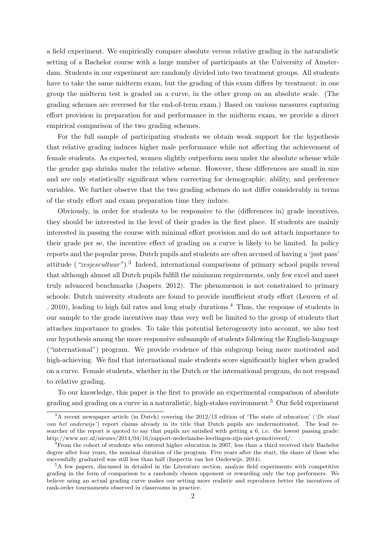a field experiment. We empirically compare absolute versus relative grading in the naturalistic setting of a Bachelor course with a large number of participants at the University of Amsterdam. Students in our experiment are randomly divided into two treatment groups. All students have to take the same midterm exam, but the grading of this exam differs by treatment: in one group the midterm test is graded on a curve, in the other group on an absolute scale. (The grading schemes are reversed for the end-of-term exam.) Based on various measures capturing effort provision in preparation for and performance in the midterm exam, we provide a direct empirical comparison of the two grading schemes.

For the full sample of participating students we obtain weak support for the hypothesis that relative grading induces higher male performance while not affecting the achievement of female students. As expected, women slightly outperform men under the absolute scheme while the gender gap shrinks under the relative scheme. However, these differences are small in size and are only statistically significant when correcting for demographic, ability, and preference variables. We further observe that the two grading schemes do not differ considerably in terms of the study effort and exam preparation time they induce.

Obviously, in order for students to be responsive to the (differences in) grade incentives, they should be interested in the level of their grades in the first place. If students are mainly interested in passing the course with minimal effort provision and do not attach importance to their grade per se, the incentive effect of grading on a curve is likely to be limited. In policy reports and the popular press, Dutch pupils and students are often accused of having a 'just pass' attitude  $(*zesjescultuur")$ .<sup>[3](#page--1-0)</sup> Indeed, international comparisons of primary school pupils reveal that although almost all Dutch pupils fulfill the minimum requirements, only few excel and meet truly advanced benchmarks [\(Jaspers, 2012\)](#page-27-3). The phenomenon is not constrained to primary schools: Dutch university students are found to provide insufficient study effort [\(Leuven](#page-28-4) et al. [, 2010\)](#page-28-4), leading to high fail rates and long study durations.[4](#page--1-0) Thus, the response of students in our sample to the grade incentives may thus very well be limited to the group of students that attaches importance to grades. To take this potential heterogeneity into account, we also test our hypothesis among the more responsive subsample of students following the English-language ("international") program. We provide evidence of this subgroup being more motivated and high-achieving. We find that international male students score significantly higher when graded on a curve. Female students, whether in the Dutch or the international program, do not respond to relative grading.

To our knowledge, this paper is the first to provide an experimental comparison of absolute grading and grading on a curve in a naturalistic, high-stakes environment.<sup>[5](#page--1-0)</sup> Our field experiment

<sup>&</sup>lt;sup>3</sup>A recent newspaper article (in Dutch) covering the 2012/13 edition of 'The state of education' (*'De staat* van het onderwijs') report claims already in its title that Dutch pupils are undermotivated. The lead researcher of the report is quoted to say that pupils are satisfied with getting a 6, i.e. the lowest passing grade: http://www.nrc.nl/nieuws/2014/04/16/rapport-nederlandse-leerlingen-zijn-niet-gemotiveerd/.

<sup>&</sup>lt;sup>4</sup>From the cohort of students who entered higher education in 2007, less than a third received their Bachelor degree after four years, the nominal duration of the program. Five years after the start, the share of those who successfully graduated was still less than half [\(Inspectie van het Onderwijs, 2014\)](#page-27-4).

<sup>&</sup>lt;sup>5</sup>A few papers, discussed in detailed in the Literature section, analyze field experiments with competitive grading in the form of comparison to a randomly chosen opponent or rewarding only the top performers. We believe using an actual grading curve makes our setting more realistic and reproduces better the incentives of rank-order tournaments observed in classrooms in practice.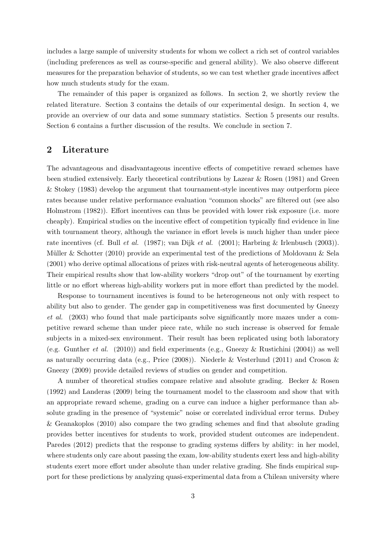includes a large sample of university students for whom we collect a rich set of control variables (including preferences as well as course-specific and general ability). We also observe different measures for the preparation behavior of students, so we can test whether grade incentives affect how much students study for the exam.

The remainder of this paper is organized as follows. In section 2, we shortly review the related literature. Section 3 contains the details of our experimental design. In section 4, we provide an overview of our data and some summary statistics. Section 5 presents our results. Section 6 contains a further discussion of the results. We conclude in section 7.

### 2 Literature

The advantageous and disadvantageous incentive effects of competitive reward schemes have been studied extensively. Early theoretical contributions by [Lazear & Rosen](#page-28-2) [\(1981\)](#page-28-2) and [Green](#page-27-5) [& Stokey](#page-27-5) [\(1983\)](#page-27-5) develop the argument that tournament-style incentives may outperform piece rates because under relative performance evaluation "common shocks" are filtered out (see also [Holmstrom](#page-27-6) [\(1982\)](#page-27-6)). Effort incentives can thus be provided with lower risk exposure (i.e. more cheaply). Empirical studies on the incentive effect of competition typically find evidence in line with tournament theory, although the variance in effort levels is much higher than under piece rate incentives (cf. Bull [et al.](#page-26-0) [\(1987\)](#page-26-0); [van Dijk](#page-29-2) et al. [\(2001\)](#page-29-2); [Harbring & Irlenbusch](#page-27-7) [\(2003\)](#page-27-7)). Müller & Schotter [\(2010\)](#page-28-5) provide an experimental test of the predictions of [Moldovanu & Sela](#page-28-6) [\(2001\)](#page-28-6) who derive optimal allocations of prizes with risk-neutral agents of heterogeneous ability. Their empirical results show that low-ability workers "drop out" of the tournament by exerting little or no effort whereas high-ability workers put in more effort than predicted by the model.

Response to tournament incentives is found to be heterogeneous not only with respect to ability but also to gender. The gender gap in competitiveness was first documented by [Gneezy](#page-27-1) [et al.](#page-27-1) [\(2003\)](#page-27-1) who found that male participants solve significantly more mazes under a competitive reward scheme than under piece rate, while no such increase is observed for female subjects in a mixed-sex environment. Their result has been replicated using both laboratory (e.g. [Gunther](#page-27-8) *et al.* [\(2010\)](#page-27-8)) and field experiments (e.g., [Gneezy & Rustichini](#page-26-1) [\(2004\)](#page-26-1)) as well as naturally occurring data (e.g., [Price](#page-28-7) [\(2008\)](#page-28-7)). [Niederle & Vesterlund](#page-28-8) [\(2011\)](#page-28-8) and [Croson &](#page-26-2) [Gneezy](#page-26-2) [\(2009\)](#page-26-2) provide detailed reviews of studies on gender and competition.

A number of theoretical studies compare relative and absolute grading. [Becker & Rosen](#page-26-3) [\(1992\)](#page-26-3) and [Landeras](#page-27-9) [\(2009\)](#page-27-9) bring the tournament model to the classroom and show that with an appropriate reward scheme, grading on a curve can induce a higher performance than absolute grading in the presence of "systemic" noise or correlated individual error terms. [Dubey](#page-26-4) [& Geanakoplos](#page-26-4) [\(2010\)](#page-26-4) also compare the two grading schemes and find that absolute grading provides better incentives for students to work, provided student outcomes are independent. [Paredes](#page-28-9) [\(2012\)](#page-28-9) predicts that the response to grading systems differs by ability: in her model, where students only care about passing the exam, low-ability students exert less and high-ability students exert more effort under absolute than under relative grading. She finds empirical support for these predictions by analyzing quasi-experimental data from a Chilean university where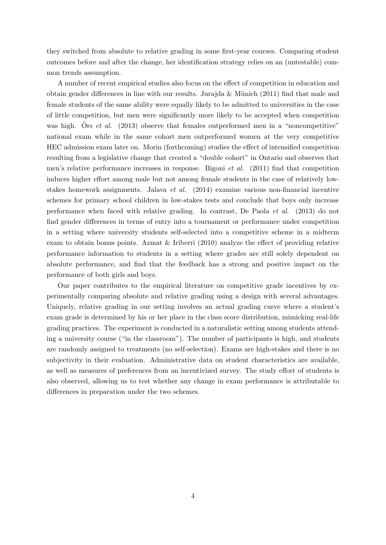they switched from absolute to relative grading in some first-year courses. Comparing student outcomes before and after the change, her identification strategy relies on an (untestable) common trends assumption.

A number of recent empirical studies also focus on the effect of competition in education and obtain gender differences in line with our results. Jurajda & Münich  $(2011)$  find that male and female students of the same ability were equally likely to be admitted to universities in the case of little competition, but men were significantly more likely to be accepted when competition was high. Örs *[et al.](#page-28-10)* [\(2013\)](#page-28-10) observe that females outperformed men in a "noncompetitive" national exam while in the same cohort men outperformed women at the very competitive HEC admission exam later on. [Morin](#page-28-11) [\(forthcoming\)](#page-28-11) studies the effect of intensified competition resulting from a legislative change that created a "double cohort" in Ontario and observes that men's relative performance increases in response. [Bigoni](#page-26-5) et al. [\(2011\)](#page-26-5) find that competition induces higher effort among male but not among female students in the case of relatively lowstakes homework assignments. [Jalava](#page-27-11) et al. [\(2014\)](#page-27-11) examine various non-financial incentive schemes for primary school children in low-stakes tests and conclude that boys only increase performance when faced with relative grading. In contrast, [De Paola](#page-26-6) et al. [\(2013\)](#page-26-6) do not find gender differences in terms of entry into a tournament or performance under competition in a setting where university students self-selected into a competitive scheme in a midterm exam to obtain bonus points. [Azmat & Iriberri](#page-26-7) [\(2010\)](#page-26-7) analyze the effect of providing relative performance information to students in a setting where grades are still solely dependent on absolute performance, and find that the feedback has a strong and positive impact on the performance of both girls and boys.

Our paper contributes to the empirical literature on competitive grade incentives by experimentally comparing absolute and relative grading using a design with several advantages. Uniquely, relative grading in our setting involves an actual grading curve where a student's exam grade is determined by his or her place in the class score distribution, mimicking real-life grading practices. The experiment is conducted in a naturalistic setting among students attending a university course ("in the classroom"). The number of participants is high, and students are randomly assigned to treatments (no self-selection). Exams are high-stakes and there is no subjectivity in their evaluation. Administrative data on student characteristics are available, as well as measures of preferences from an incentivized survey. The study effort of students is also observed, allowing us to test whether any change in exam performance is attributable to differences in preparation under the two schemes.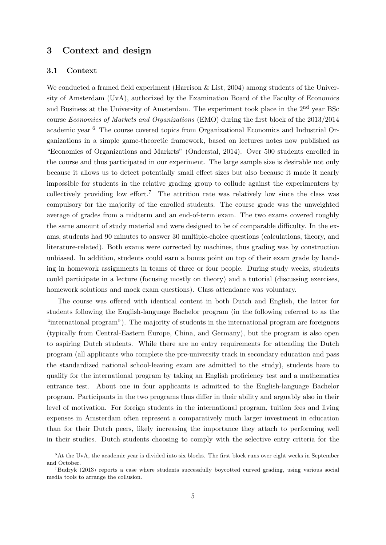### 3 Context and design

#### 3.1 Context

We conducted a framed field experiment [\(Harrison & List, 2004\)](#page-27-12) among students of the University of Amsterdam (UvA), authorized by the Examination Board of the Faculty of Economics and Business at the University of Amsterdam. The experiment took place in the 2nd year BSc course Economics of Markets and Organizations (EMO) during the first block of the 2013/2014 academic year.[6](#page--1-0) The course covered topics from Organizational Economics and Industrial Organizations in a simple game-theoretic framework, based on lectures notes now published as "Economics of Organizations and Markets" [\(Onderstal, 2014\)](#page-28-12). Over 500 students enrolled in the course and thus participated in our experiment. The large sample size is desirable not only because it allows us to detect potentially small effect sizes but also because it made it nearly impossible for students in the relative grading group to collude against the experimenters by collectively providing low effort.<sup>[7](#page--1-0)</sup> The attrition rate was relatively low since the class was compulsory for the majority of the enrolled students. The course grade was the unweighted average of grades from a midterm and an end-of-term exam. The two exams covered roughly the same amount of study material and were designed to be of comparable difficulty. In the exams, students had 90 minutes to answer 30 multiple-choice questions (calculations, theory, and literature-related). Both exams were corrected by machines, thus grading was by construction unbiased. In addition, students could earn a bonus point on top of their exam grade by handing in homework assignments in teams of three or four people. During study weeks, students could participate in a lecture (focusing mostly on theory) and a tutorial (discussing exercises, homework solutions and mock exam questions). Class attendance was voluntary.

The course was offered with identical content in both Dutch and English, the latter for students following the English-language Bachelor program (in the following referred to as the "international program"). The majority of students in the international program are foreigners (typically from Central-Eastern Europe, China, and Germany), but the program is also open to aspiring Dutch students. While there are no entry requirements for attending the Dutch program (all applicants who complete the pre-university track in secondary education and pass the standardized national school-leaving exam are admitted to the study), students have to qualify for the international program by taking an English proficiency test and a mathematics entrance test. About one in four applicants is admitted to the English-language Bachelor program. Participants in the two programs thus differ in their ability and arguably also in their level of motivation. For foreign students in the international program, tuition fees and living expenses in Amsterdam often represent a comparatively much larger investment in education than for their Dutch peers, likely increasing the importance they attach to performing well in their studies. Dutch students choosing to comply with the selective entry criteria for the

 ${}^{6}$ At the UvA, the academic year is divided into six blocks. The first block runs over eight weeks in September and October.

<sup>7</sup>[Budryk](#page-26-8) [\(2013\)](#page-26-8) reports a case where students successfully boycotted curved grading, using various social media tools to arrange the collusion.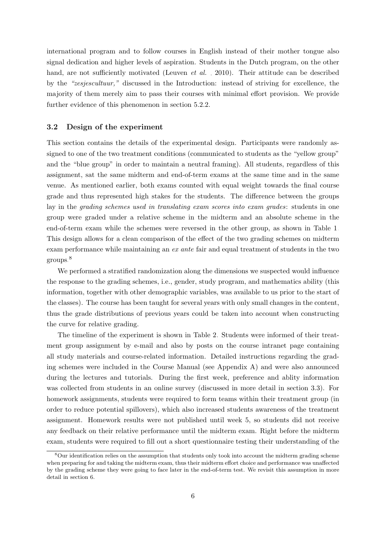international program and to follow courses in English instead of their mother tongue also signal dedication and higher levels of aspiration. Students in the Dutch program, on the other hand, are not sufficiently motivated [\(Leuven](#page-28-4) *et al.*, [2010\)](#page-28-4). Their attitude can be described by the "zesjescultuur," discussed in the Introduction: instead of striving for excellence, the majority of them merely aim to pass their courses with minimal effort provision. We provide further evidence of this phenomenon in section 5.2.2.

#### 3.2 Design of the experiment

This section contains the details of the experimental design. Participants were randomly assigned to one of the two treatment conditions (communicated to students as the "yellow group" and the "blue group" in order to maintain a neutral framing). All students, regardless of this assignment, sat the same midterm and end-of-term exams at the same time and in the same venue. As mentioned earlier, both exams counted with equal weight towards the final course grade and thus represented high stakes for the students. The difference between the groups lay in the *grading schemes used in translating exam scores into exam grades*: students in one group were graded under a relative scheme in the midterm and an absolute scheme in the end-of-term exam while the schemes were reversed in the other group, as shown in Table [1.](#page-19-0) This design allows for a clean comparison of the effect of the two grading schemes on midterm exam performance while maintaining an ex ante fair and equal treatment of students in the two groups.[8](#page--1-0)

We performed a stratified randomization along the dimensions we suspected would influence the response to the grading schemes, i.e., gender, study program, and mathematics ability (this information, together with other demographic variables, was available to us prior to the start of the classes). The course has been taught for several years with only small changes in the content, thus the grade distributions of previous years could be taken into account when constructing the curve for relative grading.

The timeline of the experiment is shown in Table [2.](#page-19-1) Students were informed of their treatment group assignment by e-mail and also by posts on the course intranet page containing all study materials and course-related information. Detailed instructions regarding the grading schemes were included in the Course Manual (see Appendix A) and were also announced during the lectures and tutorials. During the first week, preference and ablity information was collected from students in an online survey (discussed in more detail in section 3.3). For homework assignments, students were required to form teams within their treatment group (in order to reduce potential spillovers), which also increased students awareness of the treatment assignment. Homework results were not published until week 5, so students did not receive any feedback on their relative performance until the midterm exam. Right before the midterm exam, students were required to fill out a short questionnaire testing their understanding of the

<sup>&</sup>lt;sup>8</sup>Our identification relies on the assumption that students only took into account the midterm grading scheme when preparing for and taking the midterm exam, thus their midterm effort choice and performance was unaffected by the grading scheme they were going to face later in the end-of-term test. We revisit this assumption in more detail in section 6.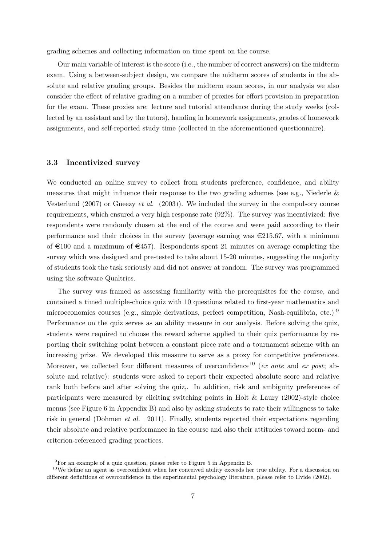grading schemes and collecting information on time spent on the course.

Our main variable of interest is the score (i.e., the number of correct answers) on the midterm exam. Using a between-subject design, we compare the midterm scores of students in the absolute and relative grading groups. Besides the midterm exam scores, in our analysis we also consider the effect of relative grading on a number of proxies for effort provision in preparation for the exam. These proxies are: lecture and tutorial attendance during the study weeks (collected by an assistant and by the tutors), handing in homework assignments, grades of homework assignments, and self-reported study time (collected in the aforementioned questionnaire).

#### 3.3 Incentivized survey

We conducted an online survey to collect from students preference, confidence, and ability measures that might influence their response to the two grading schemes (see e.g., Niederle  $\&$ [Vesterlund](#page-28-13)  $(2007)$  or [Gneezy](#page-27-1) *et al.*  $(2003)$ . We included the survey in the compulsory course requirements, which ensured a very high response rate (92%). The survey was incentivized: five respondents were randomly chosen at the end of the course and were paid according to their performance and their choices in the survey (average earning was  $\in 215.67$ , with a minimum of  $\epsilon$ 100 and a maximum of  $\epsilon$ 457). Respondents spent 21 minutes on average completing the survey which was designed and pre-tested to take about 15-20 minutes, suggesting the majority of students took the task seriously and did not answer at random. The survey was programmed using the software Qualtrics.

The survey was framed as assessing familiarity with the prerequisites for the course, and contained a timed multiple-choice quiz with 10 questions related to first-year mathematics and microeconomics courses (e.g., simple derivations, perfect competition, Nash-equilibria, etc.).<sup>[9](#page--1-0)</sup> Performance on the quiz serves as an ability measure in our analysis. Before solving the quiz, students were required to choose the reward scheme applied to their quiz performance by reporting their switching point between a constant piece rate and a tournament scheme with an increasing prize. We developed this measure to serve as a proxy for competitive preferences. Moreover, we collected four different measures of overconfidence<sup>[10](#page--1-0)</sup> (ex ante and ex post; absolute and relative): students were asked to report their expected absolute score and relative rank both before and after solving the quiz,. In addition, risk and ambiguity preferences of participants were measured by eliciting switching points in [Holt & Laury](#page-27-13) [\(2002\)](#page-27-13)-style choice menus (see Figure [6](#page-32-0) in Appendix B) and also by asking students to rate their willingness to take risk in general [\(Dohmen](#page-26-9) et al. , [2011\)](#page-26-9). Finally, students reported their expectations regarding their absolute and relative performance in the course and also their attitudes toward norm- and criterion-referenced grading practices.

<sup>9</sup>For an example of a quiz question, please refer to Figure [5](#page-32-1) in Appendix B.

<sup>10</sup>We define an agent as overconfident when her conceived ability exceeds her true ability. For a discussion on different definitions of overconfidence in the experimental psychology literature, please refer to [Hvide](#page-27-14) [\(2002\)](#page-27-14).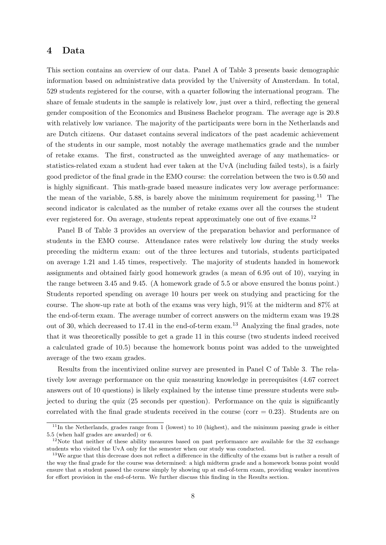### 4 Data

This section contains an overview of our data. Panel A of Table [3](#page-20-0) presents basic demographic information based on administrative data provided by the University of Amsterdam. In total, 529 students registered for the course, with a quarter following the international program. The share of female students in the sample is relatively low, just over a third, reflecting the general gender composition of the Economics and Business Bachelor program. The average age is 20.8 with relatively low variance. The majority of the participants were born in the Netherlands and are Dutch citizens. Our dataset contains several indicators of the past academic achievement of the students in our sample, most notably the average mathematics grade and the number of retake exams. The first, constructed as the unweighted average of any mathematics- or statistics-related exam a student had ever taken at the UvA (including failed tests), is a fairly good predictor of the final grade in the EMO course: the correlation between the two is 0.50 and is highly significant. This math-grade based measure indicates very low average performance: the mean of the variable, 5.88, is barely above the minimum requirement for passing.<sup>[11](#page--1-0)</sup> The second indicator is calculated as the number of retake exams over all the courses the student ever registered for. On average, students repeat approximately one out of five exams.<sup>[12](#page--1-0)</sup>

Panel B of Table [3](#page-20-0) provides an overview of the preparation behavior and performance of students in the EMO course. Attendance rates were relatively low during the study weeks preceding the midterm exam: out of the three lectures and tutorials, students participated on average 1.21 and 1.45 times, respectively. The majority of students handed in homework assignments and obtained fairly good homework grades (a mean of 6.95 out of 10), varying in the range between 3.45 and 9.45. (A homework grade of 5.5 or above ensured the bonus point.) Students reported spending on average 10 hours per week on studying and practicing for the course. The show-up rate at both of the exams was very high, 91% at the midterm and 87% at the end-of-term exam. The average number of correct answers on the midterm exam was 19.28 out of 30, which decreased to 17.41 in the end-of-term exam.<sup>[13](#page--1-0)</sup> Analyzing the final grades, note that it was theoretically possible to get a grade 11 in this course (two students indeed received a calculated grade of 10.5) because the homework bonus point was added to the unweighted average of the two exam grades.

Results from the incentivized online survey are presented in Panel C of Table [3.](#page-20-0) The relatively low average performance on the quiz measuring knowledge in prerequisites (4.67 correct answers out of 10 questions) is likely explained by the intense time pressure students were subjected to during the quiz (25 seconds per question). Performance on the quiz is significantly correlated with the final grade students received in the course (corr  $= 0.23$ ). Students are on

 $11$ In the Netherlands, grades range from 1 (lowest) to 10 (highest), and the minimum passing grade is either 5.5 (when half grades are awarded) or 6.

<sup>&</sup>lt;sup>12</sup>Note that neither of these ability measures based on past performance are available for the 32 exchange students who visited the UvA only for the semester when our study was conducted.

<sup>&</sup>lt;sup>13</sup>We argue that this decrease does not reflect a difference in the difficulty of the exams but is rather a result of the way the final grade for the course was determined: a high midterm grade and a homework bonus point would ensure that a student passed the course simply by showing up at end-of-term exam, providing weaker incentives for effort provision in the end-of-term. We further discuss this finding in the Results section.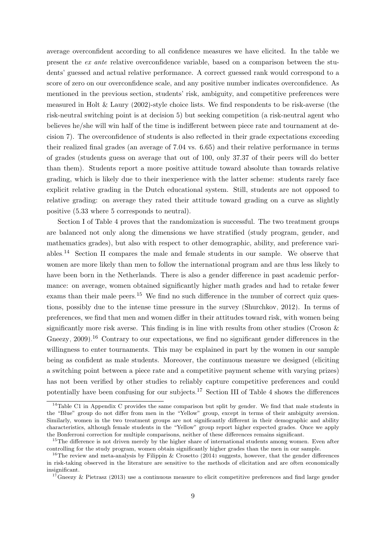average overconfident according to all confidence measures we have elicited. In the table we present the ex ante relative overconfidence variable, based on a comparison between the students' guessed and actual relative performance. A correct guessed rank would correspond to a score of zero on our overconfidence scale, and any positive number indicates overconfidence. As mentioned in the previous section, students' risk, ambiguity, and competitive preferences were measured in Holt  $&$  Laury [\(2002\)](#page-27-13)-style choice lists. We find respondents to be risk-averse (the risk-neutral switching point is at decision 5) but seeking competition (a risk-neutral agent who believes he/she will win half of the time is indifferent between piece rate and tournament at decision 7). The overconfidence of students is also reflected in their grade expectations exceeding their realized final grades (an average of 7.04 vs. 6.65) and their relative performance in terms of grades (students guess on average that out of 100, only 37.37 of their peers will do better than them). Students report a more positive attitude toward absolute than towards relative grading, which is likely due to their inexperience with the latter scheme: students rarely face explicit relative grading in the Dutch educational system. Still, students are not opposed to relative grading: on average they rated their attitude toward grading on a curve as slightly positive (5.33 where 5 corresponds to neutral).

Section I of Table [4](#page-21-0) proves that the randomization is successful. The two treatment groups are balanced not only along the dimensions we have stratified (study program, gender, and mathematics grades), but also with respect to other demographic, ability, and preference variables.[14](#page--1-0) Section II compares the male and female students in our sample. We observe that women are more likely than men to follow the international program and are thus less likely to have been born in the Netherlands. There is also a gender difference in past academic performance: on average, women obtained significantly higher math grades and had to retake fewer exams than their male peers.<sup>[15](#page--1-0)</sup> We find no such difference in the number of correct quiz questions, possibly due to the intense time pressure in the survey [\(Shurchkov, 2012\)](#page-29-3). In terms of preferences, we find that men and women differ in their attitudes toward risk, with women being significantly more risk averse. This finding is in line with results from other studies (Croson  $\&$ [Gneezy, 2009\)](#page-26-2).<sup>[16](#page--1-0)</sup> Contrary to our expectations, we find no significant gender differences in the willingness to enter tournaments. This may be explained in part by the women in our sample being as confident as male students. Moreover, the continuous measure we designed (eliciting a switching point between a piece rate and a competitive payment scheme with varying prizes) has not been verified by other studies to reliably capture competitive preferences and could potentially have been confusing for our subjects.[17](#page--1-0) Section III of Table [4](#page-21-0) shows the differences

<sup>&</sup>lt;sup>14</sup>Table [C1](#page-33-0) in Appendix C provides the same comparison but split by gender. We find that male students in the "Blue" group do not differ from men in the "Yellow" group, except in terms of their ambiguity aversion. Similarly, women in the two treatment groups are not significantly different in their demographic and ability characteristics, although female students in the "Yellow" group report higher expected grades. Once we apply the Bonferroni correction for multiple comparisons, neither of these differences remains significant.

<sup>&</sup>lt;sup>15</sup>The difference is not driven merely by the higher share of international students among women. Even after controlling for the study program, women obtain significantly higher grades than the men in our sample.

<sup>&</sup>lt;sup>16</sup>The review and meta-analysis by [Filippin & Crosetto](#page-26-10)  $(2014)$  suggests, however, that the gender differences in risk-taking observed in the literature are sensitive to the methods of elicitation and are often economically insignificant.

 $17\text{Gneezv}$  & Pietrasz [\(2013\)](#page-26-11) use a continuous measure to elicit competitive preferences and find large gender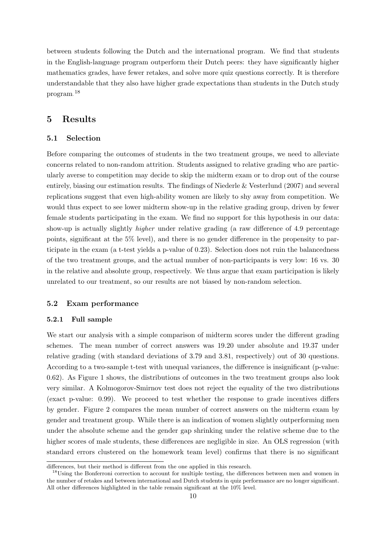between students following the Dutch and the international program. We find that students in the English-language program outperform their Dutch peers: they have significantly higher mathematics grades, have fewer retakes, and solve more quiz questions correctly. It is therefore understandable that they also have higher grade expectations than students in the Dutch study program.[18](#page--1-0)

### 5 Results

#### 5.1 Selection

Before comparing the outcomes of students in the two treatment groups, we need to alleviate concerns related to non-random attrition. Students assigned to relative grading who are particularly averse to competition may decide to skip the midterm exam or to drop out of the course entirely, biasing our estimation results. The findings of [Niederle & Vesterlund](#page-28-13) [\(2007\)](#page-28-13) and several replications suggest that even high-ability women are likely to shy away from competition. We would thus expect to see lower midterm show-up in the relative grading group, driven by fewer female students participating in the exam. We find no support for this hypothesis in our data: show-up is actually slightly *higher* under relative grading (a raw difference of 4.9 percentage points, significant at the 5% level), and there is no gender difference in the propensity to participate in the exam (a t-test yields a p-value of 0.23). Selection does not ruin the balancedness of the two treatment groups, and the actual number of non-participants is very low: 16 vs. 30 in the relative and absolute group, respectively. We thus argue that exam participation is likely unrelated to our treatment, so our results are not biased by non-random selection.

#### 5.2 Exam performance

#### 5.2.1 Full sample

We start our analysis with a simple comparison of midterm scores under the different grading schemes. The mean number of correct answers was 19.20 under absolute and 19.37 under relative grading (with standard deviations of 3.79 and 3.81, respectively) out of 30 questions. According to a two-sample t-test with unequal variances, the difference is insignificant (p-value: 0.62). As Figure [1](#page-24-0) shows, the distributions of outcomes in the two treatment groups also look very similar. A Kolmogorov-Smirnov test does not reject the equality of the two distributions (exact p-value: 0.99). We proceed to test whether the response to grade incentives differs by gender. Figure [2](#page-24-1) compares the mean number of correct answers on the midterm exam by gender and treatment group. While there is an indication of women slightly outperforming men under the absolute scheme and the gender gap shrinking under the relative scheme due to the higher scores of male students, these differences are negligible in size. An OLS regression (with standard errors clustered on the homework team level) confirms that there is no significant

differences, but their method is different from the one applied in this research.

<sup>&</sup>lt;sup>18</sup>Using the Bonferroni correction to account for multiple testing, the differences between men and women in the number of retakes and between international and Dutch students in quiz performance are no longer significant. All other differences highlighted in the table remain significant at the 10% level.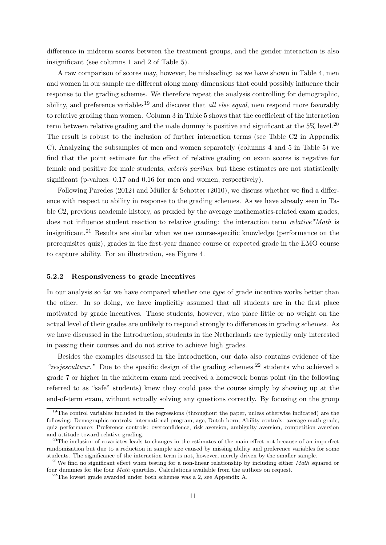difference in midterm scores between the treatment groups, and the gender interaction is also insignificant (see columns 1 and 2 of Table [5\)](#page-22-0).

A raw comparison of scores may, however, be misleading: as we have shown in Table [4,](#page-21-0) men and women in our sample are different along many dimensions that could possibly influence their response to the grading schemes. We therefore repeat the analysis controlling for demographic, ability, and preference variables<sup>[19](#page--1-0)</sup> and discover that *all else equal*, men respond more favorably to relative grading than women. Column 3 in Table [5](#page-22-0) shows that the coefficient of the interaction term between relative grading and the male dummy is positive and significant at the  $5\%$  level.<sup>[20](#page--1-0)</sup> The result is robust to the inclusion of further interaction terms (see Table [C2](#page-34-0) in Appendix C). Analyzing the subsamples of men and women separately (columns 4 and 5 in Table [5\)](#page-22-0) we find that the point estimate for the effect of relative grading on exam scores is negative for female and positive for male students, ceteris paribus, but these estimates are not statistically significant (p-values: 0.17 and 0.16 for men and women, respectively).

Following [Paredes](#page-28-9) [\(2012\)](#page-28-9) and Müller & Schotter [\(2010\)](#page-28-5), we discuss whether we find a difference with respect to ability in response to the grading schemes. As we have already seen in Table [C2,](#page-34-0) previous academic history, as proxied by the average mathematics-related exam grades, does not influence student reaction to relative grading: the interaction term *relative*\**Math* is insignificant.[21](#page--1-0) Results are similar when we use course-specific knowledge (performance on the prerequisites quiz), grades in the first-year finance course or expected grade in the EMO course to capture ability. For an illustration, see Figure [4.](#page-25-0)

#### 5.2.2 Responsiveness to grade incentives

In our analysis so far we have compared whether one type of grade incentive works better than the other. In so doing, we have implicitly assumed that all students are in the first place motivated by grade incentives. Those students, however, who place little or no weight on the actual level of their grades are unlikely to respond strongly to differences in grading schemes. As we have discussed in the Introduction, students in the Netherlands are typically only interested in passing their courses and do not strive to achieve high grades.

Besides the examples discussed in the Introduction, our data also contains evidence of the "zesjescultuur." Due to the specific design of the grading schemes,  $2^2$  students who achieved a grade 7 or higher in the midterm exam and received a homework bonus point (in the following referred to as "safe" students) knew they could pass the course simply by showing up at the end-of-term exam, without actually solving any questions correctly. By focusing on the group

<sup>&</sup>lt;sup>19</sup>The control variables included in the regressions (throughout the paper, unless otherwise indicated) are the following: Demographic controls: international program, age, Dutch-born; Ability controls: average math grade, quiz performance; Preference controls: overconfidence, risk aversion, ambiguity aversion, competition aversion and attitude toward relative grading.

<sup>&</sup>lt;sup>20</sup>The inclusion of covariates leads to changes in the estimates of the main effect not because of an imperfect randomization but due to a reduction in sample size caused by missing ability and preference variables for some students. The significance of the interaction term is not, however, merely driven by the smaller sample.

<sup>&</sup>lt;sup>21</sup>We find no significant effect when testing for a non-linear relationship by including either *Math* squared or four dummies for the four Math quartiles. Calculations available from the authors on request.

 $^{22}$ The lowest grade awarded under both schemes was a 2, see Appendix A.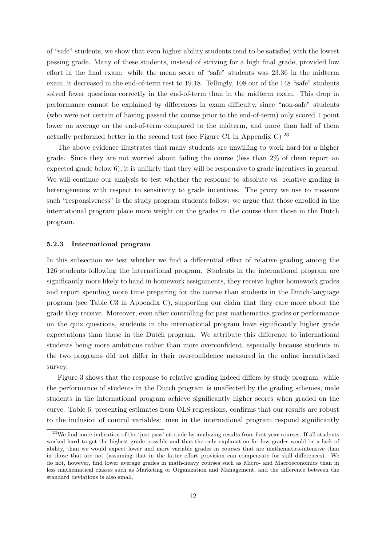of "safe" students, we show that even higher ability students tend to be satisfied with the lowest passing grade. Many of these students, instead of striving for a high final grade, provided low effort in the final exam: while the mean score of "safe" students was 23.36 in the midterm exam, it decreased in the end-of-term test to 19.18. Tellingly, 108 out of the 148 "safe" students solved fewer questions correctly in the end-of-term than in the midterm exam. This drop in performance cannot be explained by differences in exam difficulty, since "non-safe" students (who were not certain of having passed the course prior to the end-of-term) only scored 1 point lower on average on the end-of-term compared to the midterm, and more than half of them actually performed better in the second test (see Figure [C1](#page-37-0) in Appendix C).<sup>[23](#page--1-0)</sup>

The above evidence illustrates that many students are unwilling to work hard for a higher grade. Since they are not worried about failing the course (less than 2% of them report an expected grade below 6), it is unlikely that they will be responsive to grade incentives in general. We will continue our analysis to test whether the response to absolute vs. relative grading is heterogeneous with respect to sensitivity to grade incentives. The proxy we use to measure such "responsiveness" is the study program students follow: we argue that those enrolled in the international program place more weight on the grades in the course than those in the Dutch program.

#### 5.2.3 International program

In this subsection we test whether we find a differential effect of relative grading among the 126 students following the international program. Students in the international program are significantly more likely to hand in homework assignments, they receive higher homework grades and report spending more time preparing for the course than students in the Dutch-language program (see Table [C3](#page-35-0) in Appendix C), supporting our claim that they care more about the grade they receive. Moreover, even after controlling for past mathematics grades or performance on the quiz questions, students in the international program have significantly higher grade expectations than those in the Dutch program. We attribute this difference to international students being more ambitious rather than more overconfident, especially because students in the two programs did not differ in their overconfidence measured in the online incentivized survey.

Figure [3](#page-25-1) shows that the response to relative grading indeed differs by study program: while the performance of students in the Dutch program is unaffected by the grading schemes, male students in the international program achieve significantly higher scores when graded on the curve. Table [6,](#page-22-1) presenting estimates from OLS regressions, confirms that our results are robust to the inclusion of control variables: men in the international program respond significantly

<sup>&</sup>lt;sup>23</sup>We find more indication of the 'just pass' attitude by analyzing results from first-year courses. If all students worked hard to get the highest grade possible and thus the only explanation for low grades would be a lack of ability, than we would expect lower and more variable grades in courses that are mathematics-intensive than in those that are not (assuming that in the latter effort provision can compensate for skill differences). We do not, however, find lower average grades in math-heavy courses such as Micro- and Macroeconomics than in less mathematical classes such as Marketing or Organization and Management, and the difference between the standard deviations is also small.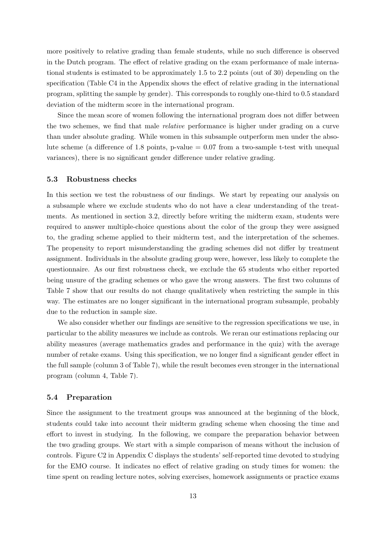more positively to relative grading than female students, while no such difference is observed in the Dutch program. The effect of relative grading on the exam performance of male international students is estimated to be approximately 1.5 to 2.2 points (out of 30) depending on the specification (Table [C4](#page-35-1) in the Appendix shows the effect of relative grading in the international program, splitting the sample by gender). This corresponds to roughly one-third to 0.5 standard deviation of the midterm score in the international program.

Since the mean score of women following the international program does not differ between the two schemes, we find that male relative performance is higher under grading on a curve than under absolute grading. While women in this subsample outperform men under the absolute scheme (a difference of 1.8 points, p-value  $= 0.07$  from a two-sample t-test with unequal variances), there is no significant gender difference under relative grading.

#### 5.3 Robustness checks

In this section we test the robustness of our findings. We start by repeating our analysis on a subsample where we exclude students who do not have a clear understanding of the treatments. As mentioned in section 3.2, directly before writing the midterm exam, students were required to answer multiple-choice questions about the color of the group they were assigned to, the grading scheme applied to their midterm test, and the interpretation of the schemes. The propensity to report misunderstanding the grading schemes did not differ by treatment assignment. Individuals in the absolute grading group were, however, less likely to complete the questionnaire. As our first robustness check, we exclude the 65 students who either reported being unsure of the grading schemes or who gave the wrong answers. The first two columns of Table [7](#page-23-0) show that our results do not change qualitatively when restricting the sample in this way. The estimates are no longer significant in the international program subsample, probably due to the reduction in sample size.

We also consider whether our findings are sensitive to the regression specifications we use, in particular to the ability measures we include as controls. We reran our estimations replacing our ability measures (average mathematics grades and performance in the quiz) with the average number of retake exams. Using this specification, we no longer find a significant gender effect in the full sample (column 3 of Table [7\)](#page-23-0), while the result becomes even stronger in the international program (column 4, Table [7\)](#page-23-0).

#### 5.4 Preparation

Since the assignment to the treatment groups was announced at the beginning of the block, students could take into account their midterm grading scheme when choosing the time and effort to invest in studying. In the following, we compare the preparation behavior between the two grading groups. We start with a simple comparison of means without the inclusion of controls. Figure [C2](#page-37-1) in Appendix C displays the students' self-reported time devoted to studying for the EMO course. It indicates no effect of relative grading on study times for women: the time spent on reading lecture notes, solving exercises, homework assignments or practice exams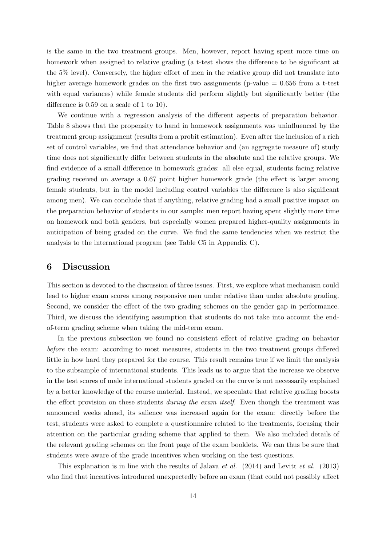is the same in the two treatment groups. Men, however, report having spent more time on homework when assigned to relative grading (a t-test shows the difference to be significant at the 5% level). Conversely, the higher effort of men in the relative group did not translate into higher average homework grades on the first two assignments (p-value  $= 0.656$  from a t-test with equal variances) while female students did perform slightly but significantly better (the difference is 0.59 on a scale of 1 to 10).

We continue with a regression analysis of the different aspects of preparation behavior. Table [8](#page-23-1) shows that the propensity to hand in homework assignments was uninfluenced by the treatment group assignment (results from a probit estimation). Even after the inclusion of a rich set of control variables, we find that attendance behavior and (an aggregate measure of) study time does not significantly differ between students in the absolute and the relative groups. We find evidence of a small difference in homework grades: all else equal, students facing relative grading received on average a 0.67 point higher homework grade (the effect is larger among female students, but in the model including control variables the difference is also significant among men). We can conclude that if anything, relative grading had a small positive impact on the preparation behavior of students in our sample: men report having spent slightly more time on homework and both genders, but especially women prepared higher-quality assignments in anticipation of being graded on the curve. We find the same tendencies when we restrict the analysis to the international program (see Table [C5](#page-36-0) in Appendix C).

### 6 Discussion

This section is devoted to the discussion of three issues. First, we explore what mechanism could lead to higher exam scores among responsive men under relative than under absolute grading. Second, we consider the effect of the two grading schemes on the gender gap in performance. Third, we discuss the identifying assumption that students do not take into account the endof-term grading scheme when taking the mid-term exam.

In the previous subsection we found no consistent effect of relative grading on behavior before the exam: according to most measures, students in the two treatment groups differed little in how hard they prepared for the course. This result remains true if we limit the analysis to the subsample of international students. This leads us to argue that the increase we observe in the test scores of male international students graded on the curve is not necessarily explained by a better knowledge of the course material. Instead, we speculate that relative grading boosts the effort provision on these students during the exam itself. Even though the treatment was announced weeks ahead, its salience was increased again for the exam: directly before the test, students were asked to complete a questionnaire related to the treatments, focusing their attention on the particular grading scheme that applied to them. We also included details of the relevant grading schemes on the front page of the exam booklets. We can thus be sure that students were aware of the grade incentives when working on the test questions.

This explanation is in line with the results of [Jalava](#page-27-11) et al. [\(2014\)](#page-27-11) and [Levitt](#page-28-14) et al. [\(2013\)](#page-28-14) who find that incentives introduced unexpectedly before an exam (that could not possibly affect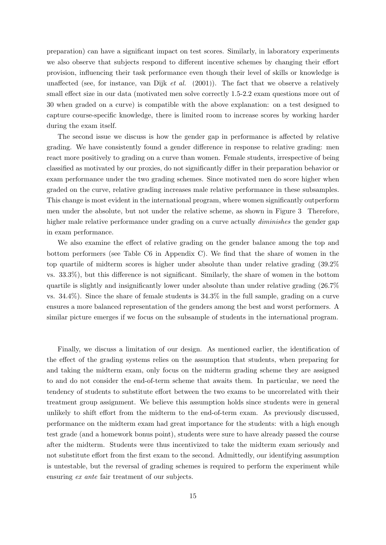preparation) can have a significant impact on test scores. Similarly, in laboratory experiments we also observe that subjects respond to different incentive schemes by changing their effort provision, influencing their task performance even though their level of skills or knowledge is unaffected (see, for instance, [van Dijk](#page-29-2) et al.  $(2001)$ ). The fact that we observe a relatively small effect size in our data (motivated men solve correctly 1.5-2.2 exam questions more out of 30 when graded on a curve) is compatible with the above explanation: on a test designed to capture course-specific knowledge, there is limited room to increase scores by working harder during the exam itself.

The second issue we discuss is how the gender gap in performance is affected by relative grading. We have consistently found a gender difference in response to relative grading: men react more positively to grading on a curve than women. Female students, irrespective of being classified as motivated by our proxies, do not significantly differ in their preparation behavior or exam performance under the two grading schemes. Since motivated men do score higher when graded on the curve, relative grading increases male relative performance in these subsamples. This change is most evident in the international program, where women significantly outperform men under the absolute, but not under the relative scheme, as shown in Figure [3.](#page-25-1) Therefore, higher male relative performance under grading on a curve actually *diminishes* the gender gap in exam performance.

We also examine the effect of relative grading on the gender balance among the top and bottom performers (see Table [C6](#page-36-1) in Appendix C). We find that the share of women in the top quartile of midterm scores is higher under absolute than under relative grading (39.2% vs. 33.3%), but this difference is not significant. Similarly, the share of women in the bottom quartile is slightly and insignificantly lower under absolute than under relative grading (26.7% vs. 34.4%). Since the share of female students is 34.3% in the full sample, grading on a curve ensures a more balanced representation of the genders among the best and worst performers. A similar picture emerges if we focus on the subsample of students in the international program.

Finally, we discuss a limitation of our design. As mentioned earlier, the identification of the effect of the grading systems relies on the assumption that students, when preparing for and taking the midterm exam, only focus on the midterm grading scheme they are assigned to and do not consider the end-of-term scheme that awaits them. In particular, we need the tendency of students to substitute effort between the two exams to be uncorrelated with their treatment group assignment. We believe this assumption holds since students were in general unlikely to shift effort from the midterm to the end-of-term exam. As previously discussed, performance on the midterm exam had great importance for the students: with a high enough test grade (and a homework bonus point), students were sure to have already passed the course after the midterm. Students were thus incentivized to take the midterm exam seriously and not substitute effort from the first exam to the second. Admittedly, our identifying assumption is untestable, but the reversal of grading schemes is required to perform the experiment while ensuring ex ante fair treatment of our subjects.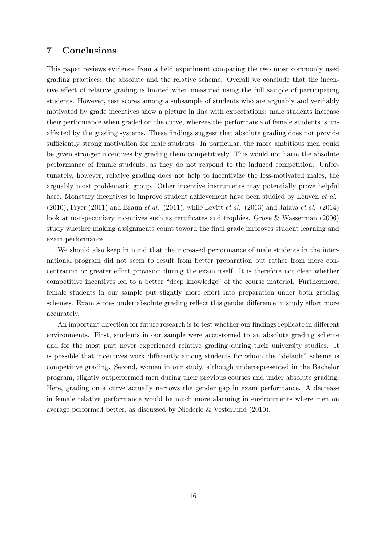### 7 Conclusions

This paper reviews evidence from a field experiment comparing the two most commonly used grading practices: the absolute and the relative scheme. Overall we conclude that the incentive effect of relative grading is limited when measured using the full sample of participating students. However, test scores among a subsample of students who are arguably and verifiably motivated by grade incentives show a picture in line with expectations: male students increase their performance when graded on the curve, whereas the performance of female students is unaffected by the grading systems. These findings suggest that absolute grading does not provide sufficiently strong motivation for male students. In particular, the more ambitious men could be given stronger incentives by grading them competitively. This would not harm the absolute performance of female students, as they do not respond to the induced competition. Unfortunately, however, relative grading does not help to incentivize the less-motivated males, the arguably most problematic group. Other incentive instruments may potentially prove helpful here. Monetary incentives to improve student achievement have been studied by [Leuven](#page-28-4) *et al.*  $(2010)$ , [Fryer](#page-26-12)  $(2011)$  and [Braun](#page-26-13) *et al.*  $(2011)$ , while [Levitt](#page-28-14) *et al.*  $(2013)$  and [Jalava](#page-27-11) *et al.*  $(2014)$ look at non-pecuniary incentives such as certificates and trophies. [Grove & Wasserman](#page-27-15) [\(2006\)](#page-27-15) study whether making assignments count toward the final grade improves student learning and exam performance.

We should also keep in mind that the increased performance of male students in the international program did not seem to result from better preparation but rather from more concentration or greater effort provision during the exam itself. It is therefore not clear whether competitive incentives led to a better "deep knowledge" of the course material. Furthermore, female students in our sample put slightly more effort into preparation under both grading schemes. Exam scores under absolute grading reflect this gender difference in study effort more accurately.

An important direction for future research is to test whether our findings replicate in different environments. First, students in our sample were accustomed to an absolute grading scheme and for the most part never experienced relative grading during their university studies. It is possible that incentives work differently among students for whom the "default" scheme is competitive grading. Second, women in our study, although underrepresented in the Bachelor program, slightly outperformed men during their previous courses and under absolute grading. Here, grading on a curve actually narrows the gender gap in exam performance. A decrease in female relative performance would be much more alarming in environments where men on average performed better, as discussed by [Niederle & Vesterlund](#page-28-15) [\(2010\)](#page-28-15).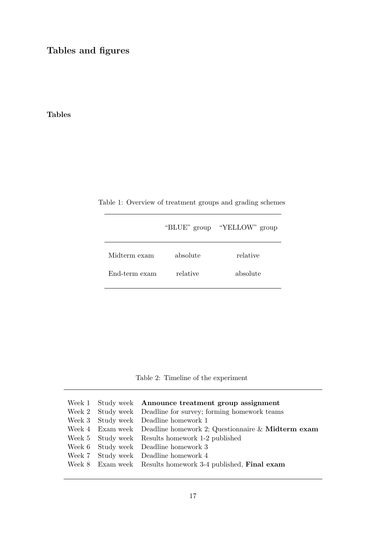Tables and figures

## Tables

<span id="page-19-0"></span>

|  | Table 1: Overview of treatment groups and grading schemes |  |  |
|--|-----------------------------------------------------------|--|--|
|  |                                                           |  |  |

|               | "BLUE" group | "YELLOW" group |
|---------------|--------------|----------------|
| Midterm exam  | absolute     | relative       |
| End-term exam | relative     | absolute       |

Table 2: Timeline of the experiment

<span id="page-19-1"></span>

|  | Week 1 Study week Announce treatment group assignment              |
|--|--------------------------------------------------------------------|
|  | Week 2 Study week Deadline for survey; forming homework teams      |
|  | Week 3 Study week Deadline homework 1                              |
|  | Week 4 Exam week Deadline homework 2; Questionnaire & Midterm exam |
|  | Week 5 Study week Results homework 1-2 published                   |
|  | Week 6 Study week Deadline homework 3                              |
|  | Week 7 Study week Deadline homework 4                              |
|  | Week 8 Exam week Results homework 3-4 published, Final exam        |
|  |                                                                    |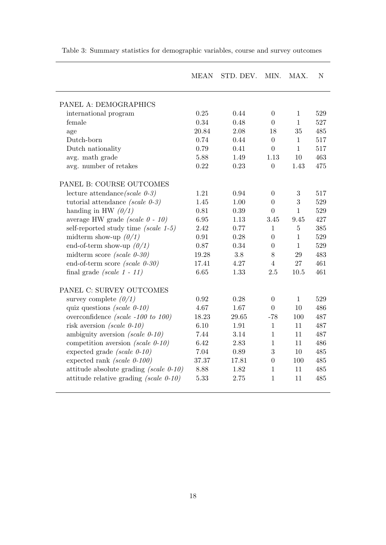|                                           | <b>MEAN</b> | STD. DEV. | MIN.             | MAX.           | N   |
|-------------------------------------------|-------------|-----------|------------------|----------------|-----|
|                                           |             |           |                  |                |     |
| PANEL A: DEMOGRAPHICS                     |             |           |                  |                |     |
| international program                     | 0.25        | 0.44      | $\Omega$         | $\mathbf{1}$   | 529 |
| female                                    | 0.34        | 0.48      | $\overline{0}$   | $\mathbf{1}$   | 527 |
| age                                       | 20.84       | 2.08      | 18               | 35             | 485 |
| Dutch-born                                | 0.74        | 0.44      | $\overline{0}$   | $\mathbf{1}$   | 517 |
| Dutch nationality                         | 0.79        | 0.41      | $\overline{0}$   | $\mathbf{1}$   | 517 |
| avg. math grade                           | 5.88        | 1.49      | 1.13             | 10             | 463 |
| avg. number of retakes                    | 0.22        | 0.23      | $\boldsymbol{0}$ | 1.43           | 475 |
| PANEL B: COURSE OUTCOMES                  |             |           |                  |                |     |
| lecture attendance (scale $0-3$ )         | 1.21        | 0.94      | $\overline{0}$   | 3              | 517 |
| tutorial attendance (scale $0-3$ )        | 1.45        | 1.00      | $\overline{0}$   | 3              | 529 |
| handing in HW $(0/1)$                     | 0.81        | 0.39      | $\overline{0}$   | $\mathbf{1}$   | 529 |
| average HW grade (scale $0 - 10$ )        | 6.95        | 1.13      | 3.45             | 9.45           | 427 |
| self-reported study time (scale $1-5$ )   | 2.42        | 0.77      | $\mathbf{1}$     | $\overline{5}$ | 385 |
| midterm show-up $(0/1)$                   | 0.91        | 0.28      | $\overline{0}$   | $\mathbf{1}$   | 529 |
| end-of-term show-up $(0/1)$               | 0.87        | 0.34      | $\boldsymbol{0}$ | $\mathbf{1}$   | 529 |
| midterm score (scale $0-30$ )             | 19.28       | 3.8       | 8                | 29             | 483 |
| end-of-term score (scale $0-30$ )         | 17.41       | 4.27      | $\overline{4}$   | 27             | 461 |
| final grade $(scale 1 - 11)$              | 6.65        | 1.33      | 2.5              | 10.5           | 461 |
| PANEL C: SURVEY OUTCOMES                  |             |           |                  |                |     |
| survey complete $(0/1)$                   | 0.92        | 0.28      | $\overline{0}$   | $\mathbf{1}$   | 529 |
| quiz questions (scale $0-10$ )            | 4.67        | 1.67      | $\overline{0}$   | 10             | 486 |
| overconfidence (scale -100 to 100)        | 18.23       | 29.65     | $-78$            | 100            | 487 |
| risk aversion (scale $0-10$ )             | 6.10        | 1.91      | $\mathbf{1}$     | 11             | 487 |
| ambiguity aversion (scale $0-10$ )        | 7.44        | 3.14      | $\mathbf{1}$     | 11             | 487 |
| competition aversion (scale $0-10$ )      | 6.42        | 2.83      | $\mathbf{1}$     | 11             | 486 |
| expected grade $(scale 0-10)$             | 7.04        | 0.89      | 3                | 10             | 485 |
| expected rank (scale $0-100$ )            | 37.37       | 17.81     | $\boldsymbol{0}$ | 100            | 485 |
| attitude absolute grading (scale $0-10$ ) | 8.88        | 1.82      | $\mathbf{1}$     | 11             | 485 |
| attitude relative grading (scale $0-10$ ) | 5.33        | 2.75      | $\mathbf{1}$     | 11             | 485 |

<span id="page-20-0"></span>Table 3: Summary statistics for demographic variables, course and survey outcomes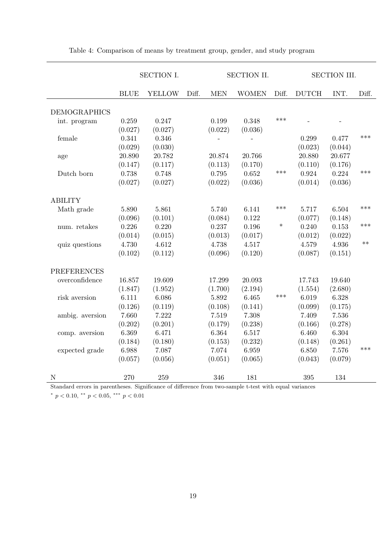|                     | <b>SECTION I.</b> |               | SECTION II. |            |              | <b>SECTION III.</b> |              |         |       |
|---------------------|-------------------|---------------|-------------|------------|--------------|---------------------|--------------|---------|-------|
|                     | <b>BLUE</b>       | <b>YELLOW</b> | Diff.       | <b>MEN</b> | <b>WOMEN</b> | Diff.               | <b>DUTCH</b> | INT.    | Diff. |
| <b>DEMOGRAPHICS</b> |                   |               |             |            |              |                     |              |         |       |
| int. program        | 0.259             | 0.247         |             | 0.199      | 0.348        | $***$               |              |         |       |
|                     | (0.027)           | (0.027)       |             | (0.022)    | (0.036)      |                     |              |         |       |
| female              | 0.341             | 0.346         |             |            |              |                     | 0.299        | 0.477   | ***   |
|                     | (0.029)           | (0.030)       |             |            |              |                     | (0.023)      | (0.044) |       |
| age                 | 20.890            | 20.782        |             | 20.874     | 20.766       |                     | 20.880       | 20.677  |       |
|                     | (0.147)           | (0.117)       |             | (0.113)    | (0.170)      |                     | (0.110)      | (0.176) |       |
| Dutch born          | 0.738             | 0.748         |             | 0.795      | 0.652        | $***$               | 0.924        | 0.224   | ***   |
|                     | (0.027)           | (0.027)       |             | (0.022)    | (0.036)      |                     | (0.014)      | (0.036) |       |
|                     |                   |               |             |            |              |                     |              |         |       |
| <b>ABILITY</b>      |                   |               |             |            |              |                     |              |         |       |
| Math grade          | 5.890             | 5.861         |             | 5.740      | 6.141        | $***$               | 5.717        | 6.504   | ***   |
|                     | (0.096)           | (0.101)       |             | (0.084)    | 0.122        |                     | (0.077)      | (0.148) |       |
| num. retakes        | 0.226             | 0.220         |             | 0.237      | 0.196        | $\ast$              | 0.240        | 0.153   | ***   |
|                     | (0.014)           | (0.015)       |             | (0.013)    | (0.017)      |                     | (0.012)      | (0.022) |       |
| quiz questions      | 4.730             | 4.612         |             | 4.738      | 4.517        |                     | 4.579        | 4.936   | $**$  |
|                     | (0.102)           | (0.112)       |             | (0.096)    | (0.120)      |                     | (0.087)      | (0.151) |       |
|                     |                   |               |             |            |              |                     |              |         |       |
| <b>PREFERENCES</b>  |                   |               |             |            |              |                     |              |         |       |
| overconfidence      | 16.857            | 19.609        |             | 17.299     | 20.093       |                     | 17.743       | 19.640  |       |
|                     | (1.847)           | (1.952)       |             | (1.700)    | (2.194)      |                     | (1.554)      | (2.680) |       |
| risk aversion       | 6.111             | 6.086         |             | 5.892      | 6.465        | ***                 | 6.019        | 6.328   |       |
|                     | (0.126)           | (0.119)       |             | (0.108)    | (0.141)      |                     | (0.099)      | (0.175) |       |
| ambig. aversion     | 7.660             | 7.222         |             | 7.519      | 7.308        |                     | 7.409        | 7.536   |       |
|                     | (0.202)           | (0.201)       |             | (0.179)    | (0.238)      |                     | (0.166)      | (0.278) |       |
| comp. aversion      | 6.369             | 6.471         |             | 6.364      | 6.517        |                     | 6.460        | 6.304   |       |
|                     | (0.184)           | (0.180)       |             | (0.153)    | (0.232)      |                     | (0.148)      | (0.261) |       |
| expected grade      | 6.988             | 7.087         |             | 7.074      | 6.959        |                     | 6.850        | 7.576   | ***   |
|                     | (0.057)           | (0.056)       |             | (0.051)    | (0.065)      |                     | (0.043)      | (0.079) |       |
|                     |                   |               |             |            |              |                     |              |         |       |
| $\mathbf N$         | 270               | 259           |             | 346        | 181          |                     | 395          | 134     |       |

<span id="page-21-0"></span>Table 4: Comparison of means by treatment group, gender, and study program

Standard errors in parentheses. Significance of difference from two-sample t-test with equal variances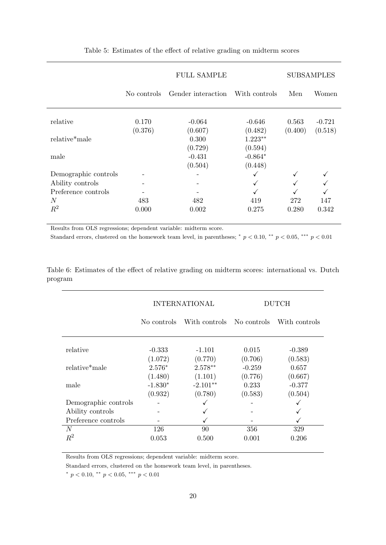<span id="page-22-0"></span>

|                      | <b>FULL SAMPLE</b> |                     |                      |                  | <b>SUBSAMPLES</b>   |
|----------------------|--------------------|---------------------|----------------------|------------------|---------------------|
|                      | No controls        | Gender interaction  | With controls        | Men              | Women               |
| relative             | 0.170<br>(0.376)   | $-0.064$<br>(0.607) | $-0.646$<br>(0.482)  | 0.563<br>(0.400) | $-0.721$<br>(0.518) |
| relative*male        |                    | 0.300               | $1.223**$            |                  |                     |
| male                 |                    | (0.729)<br>$-0.431$ | (0.594)<br>$-0.864*$ |                  |                     |
|                      |                    | (0.504)             | (0.448)              |                  |                     |
| Demographic controls |                    |                     |                      | $\checkmark$     |                     |
| Ability controls     |                    |                     | $\checkmark$         |                  |                     |
| Preference controls  |                    |                     |                      |                  |                     |
| N                    | 483                | 482                 | 419                  | 272              | 147                 |
| $R^2$                | 0.000              | 0.002               | 0.275                | 0.280            | 0.342               |

Table 5: Estimates of the effect of relative grading on midterm scores

Results from OLS regressions; dependent variable: midterm score.

Standard errors, clustered on the homework team level, in parentheses;  $p < 0.10$ ,  $\rightarrow p < 0.05$ ,  $\rightarrow p < 0.01$ 

<span id="page-22-1"></span>Table 6: Estimates of the effect of relative grading on midterm scores: international vs. Dutch program

|                      |                      | <b>INTERNATIONAL</b>  | DUTCH               |                     |  |
|----------------------|----------------------|-----------------------|---------------------|---------------------|--|
|                      | No controls          | With controls         | No controls         | With controls       |  |
| relative             | $-0.333$             | $-1.101$              | 0.015               | $-0.389$            |  |
| relative*male        | (1.072)<br>$2.576*$  | (0.770)<br>$2.578**$  | (0.706)<br>$-0.259$ | (0.583)<br>0.657    |  |
|                      | (1.480)              | (1.101)               | (0.776)             | (0.667)             |  |
| male                 | $-1.830*$<br>(0.932) | $-2.101**$<br>(0.780) | 0.233<br>(0.583)    | $-0.377$<br>(0.504) |  |
| Demographic controls |                      | ✓                     |                     |                     |  |
| Ability controls     |                      | ✓                     |                     |                     |  |
| Preference controls  |                      |                       |                     |                     |  |
| N                    | 126                  | 90                    | 356                 | 329                 |  |
| $R^2$                | 0.053                | 0.500                 | 0.001               | 0.206               |  |

Results from OLS regressions; dependent variable: midterm score.

Standard errors, clustered on the homework team level, in parentheses.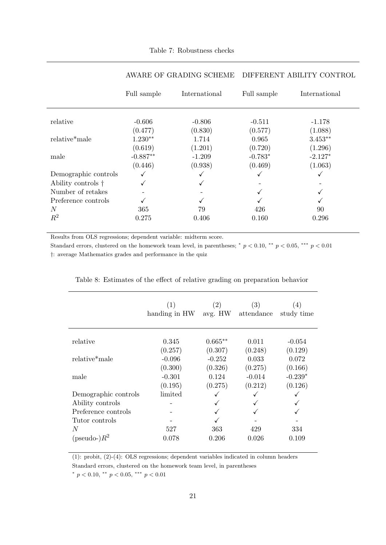<span id="page-23-0"></span>

|                            | Full sample | International | Full sample | International |
|----------------------------|-------------|---------------|-------------|---------------|
|                            |             |               |             |               |
| relative                   | $-0.606$    | $-0.806$      | $-0.511$    | $-1.178$      |
|                            | (0.477)     | (0.830)       | (0.577)     | (1.088)       |
| relative*male              | $1.230**$   | 1.714         | 0.965       | $3.453**$     |
|                            | (0.619)     | (1.201)       | (0.720)     | (1.296)       |
| male                       | $-0.887**$  | $-1.209$      | $-0.783*$   | $-2.127*$     |
|                            | (0.446)     | (0.938)       | (0.469)     | (1.063)       |
| Demographic controls       | ✓           | ✓             | ✓           | ✓             |
| Ability controls $\dagger$ |             | √             |             |               |
| Number of retakes          |             |               | ✓           |               |
| Preference controls        |             |               |             |               |
| $\boldsymbol{N}$           | 365         | 79            | 426         | 90            |
| $R^2$                      | 0.275       | 0.406         | 0.160       | 0.296         |

### AWARE OF GRADING SCHEME DIFFERENT ABILITY CONTROL

Results from OLS regressions; dependent variable: midterm score.

Standard errors, clustered on the homework team level, in parentheses; \*  $p < 0.10$ , \*\*  $p < 0.05$ , \*\*\*  $p < 0.01$ †: average Mathematics grades and performance in the quiz

|                            | (1)<br>handing in HW | (2)<br>avg. HW | (3)<br>attendance | $\left( 4\right)$<br>study time |
|----------------------------|----------------------|----------------|-------------------|---------------------------------|
| relative                   | 0.345                | $0.665**$      | 0.011             | $-0.054$                        |
|                            | (0.257)              | (0.307)        | (0.248)           | (0.129)                         |
| relative <sup>*</sup> male | $-0.096$             | $-0.252$       | 0.033             | 0.072                           |
|                            | (0.300)              | (0.326)        | (0.275)           | (0.166)                         |
| male                       | $-0.301$             | 0.124          | $-0.014$          | $-0.239*$                       |
|                            | (0.195)              | (0.275)        | (0.212)           | (0.126)                         |
| Demographic controls       | limited              |                |                   |                                 |
| Ability controls           |                      |                |                   |                                 |
| Preference controls        |                      |                |                   |                                 |
| Tutor controls             |                      |                |                   |                                 |
| N                          | 527                  | 363            | 429               | 334                             |
| (pseudo-) $R^2$            | 0.078                | 0.206          | 0.026             | 0.109                           |

<span id="page-23-1"></span>

|  |  |  |  |  |  |  |  |  | Table 8: Estimates of the effect of relative grading on preparation behavior |  |  |
|--|--|--|--|--|--|--|--|--|------------------------------------------------------------------------------|--|--|
|--|--|--|--|--|--|--|--|--|------------------------------------------------------------------------------|--|--|

(1): probit, (2)-(4): OLS regressions; dependent variables indicated in column headers

Standard errors, clustered on the homework team level, in parentheses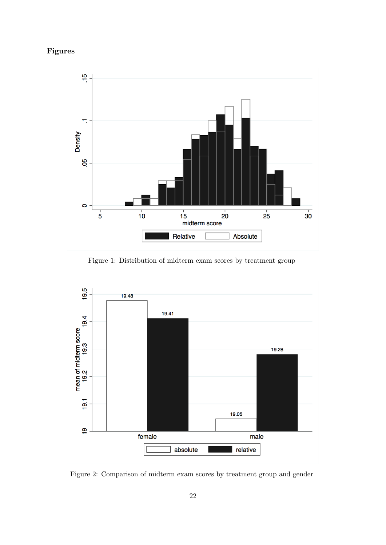## Figures

<span id="page-24-0"></span>

Figure 1: Distribution of midterm exam scores by treatment group

<span id="page-24-1"></span>

Figure 2: Comparison of midterm exam scores by treatment group and gender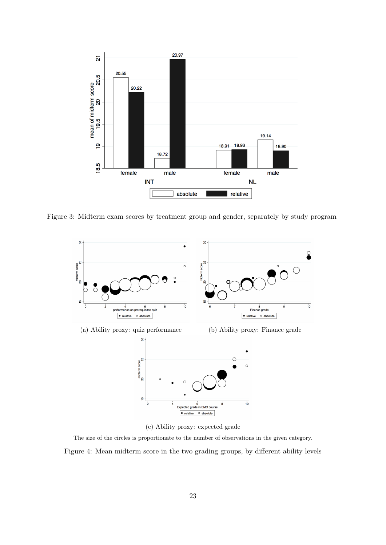<span id="page-25-1"></span>

<span id="page-25-0"></span>Figure 3: Midterm exam scores by treatment group and gender, separately by study program



(c) Ability proxy: expected grade

The size of the circles is proportionate to the number of observations in the given category.

Figure 4: Mean midterm score in the two grading groups, by different ability levels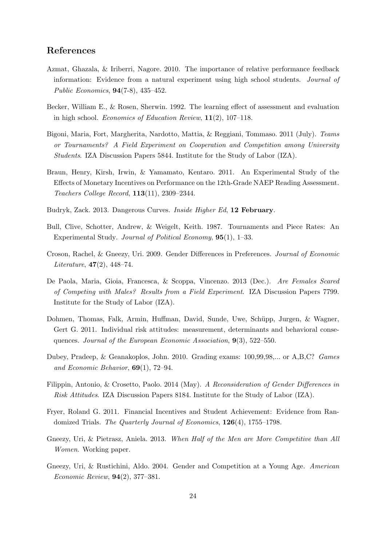### References

- <span id="page-26-7"></span>Azmat, Ghazala, & Iriberri, Nagore. 2010. The importance of relative performance feedback information: Evidence from a natural experiment using high school students. Journal of Public Economics, 94(7-8), 435–452.
- <span id="page-26-3"></span>Becker, William E., & Rosen, Sherwin. 1992. The learning effect of assessment and evaluation in high school. Economics of Education Review, 11(2), 107–118.
- <span id="page-26-5"></span>Bigoni, Maria, Fort, Margherita, Nardotto, Mattia, & Reggiani, Tommaso. 2011 (July). Teams or Tournaments? A Field Experiment on Cooperation and Competition among University Students. IZA Discussion Papers 5844. Institute for the Study of Labor (IZA).
- <span id="page-26-13"></span>Braun, Henry, Kirsh, Irwin, & Yamamato, Kentaro. 2011. An Experimental Study of the Effects of Monetary Incentives on Performance on the 12th-Grade NAEP Reading Assessment. Teachers College Record, 113(11), 2309–2344.
- <span id="page-26-8"></span>Budryk, Zack. 2013. Dangerous Curves. Inside Higher Ed, 12 February.
- <span id="page-26-0"></span>Bull, Clive, Schotter, Andrew, & Weigelt, Keith. 1987. Tournaments and Piece Rates: An Experimental Study. Journal of Political Economy, 95(1), 1–33.
- <span id="page-26-2"></span>Croson, Rachel, & Gneezy, Uri. 2009. Gender Differences in Preferences. Journal of Economic Literature,  $47(2)$ ,  $448-74$ .
- <span id="page-26-6"></span>De Paola, Maria, Gioia, Francesca, & Scoppa, Vincenzo. 2013 (Dec.). Are Females Scared of Competing with Males? Results from a Field Experiment. IZA Discussion Papers 7799. Institute for the Study of Labor (IZA).
- <span id="page-26-9"></span>Dohmen, Thomas, Falk, Armin, Huffman, David, Sunde, Uwe, Schüpp, Jurgen, & Wagner, Gert G. 2011. Individual risk attitudes: measurement, determinants and behavioral consequences. Journal of the European Economic Association, 9(3), 522–550.
- <span id="page-26-4"></span>Dubey, Pradeep, & Geanakoplos, John. 2010. Grading exams: 100,99,98,... or A,B,C? Games and Economic Behavior, 69(1), 72–94.
- <span id="page-26-10"></span>Filippin, Antonio, & Crosetto, Paolo. 2014 (May). A Reconsideration of Gender Differences in Risk Attitudes. IZA Discussion Papers 8184. Institute for the Study of Labor (IZA).
- <span id="page-26-12"></span>Fryer, Roland G. 2011. Financial Incentives and Student Achievement: Evidence from Randomized Trials. The Quarterly Journal of Economics,  $126(4)$ , 1755–1798.
- <span id="page-26-11"></span>Gneezy, Uri, & Pietrasz, Aniela. 2013. When Half of the Men are More Competitive than All Women. Working paper.
- <span id="page-26-1"></span>Gneezy, Uri, & Rustichini, Aldo. 2004. Gender and Competition at a Young Age. American Economic Review, 94(2), 377–381.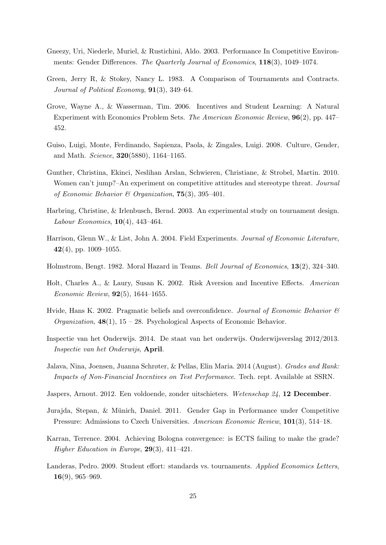- <span id="page-27-1"></span>Gneezy, Uri, Niederle, Muriel, & Rustichini, Aldo. 2003. Performance In Competitive Environments: Gender Differences. The Quarterly Journal of Economics, 118(3), 1049–1074.
- <span id="page-27-5"></span>Green, Jerry R, & Stokey, Nancy L. 1983. A Comparison of Tournaments and Contracts. Journal of Political Economy, **91**(3), 349–64.
- <span id="page-27-15"></span>Grove, Wayne A., & Wasserman, Tim. 2006. Incentives and Student Learning: A Natural Experiment with Economics Problem Sets. The American Economic Review, 96(2), pp. 447– 452.
- <span id="page-27-2"></span>Guiso, Luigi, Monte, Ferdinando, Sapienza, Paola, & Zingales, Luigi. 2008. Culture, Gender, and Math. Science, 320(5880), 1164–1165.
- <span id="page-27-8"></span>Gunther, Christina, Ekinci, Neslihan Arslan, Schwieren, Christiane, & Strobel, Martin. 2010. Women can't jump?–An experiment on competitive attitudes and stereotype threat. Journal of Economic Behavior & Organization,  $75(3)$ ,  $395-401$ .
- <span id="page-27-7"></span>Harbring, Christine, & Irlenbusch, Bernd. 2003. An experimental study on tournament design. Labour Economics, 10(4), 443–464.
- <span id="page-27-12"></span>Harrison, Glenn W., & List, John A. 2004. Field Experiments. Journal of Economic Literature, 42(4), pp. 1009–1055.
- <span id="page-27-6"></span>Holmstrom, Bengt. 1982. Moral Hazard in Teams. Bell Journal of Economics, 13(2), 324–340.
- <span id="page-27-13"></span>Holt, Charles A., & Laury, Susan K. 2002. Risk Aversion and Incentive Effects. American Economic Review, 92(5), 1644–1655.
- <span id="page-27-14"></span>Hvide, Hans K. 2002. Pragmatic beliefs and overconfidence. Journal of Economic Behavior  $\mathcal{C}$ *Organization*,  $48(1)$ ,  $15 - 28$ . Psychological Aspects of Economic Behavior.
- <span id="page-27-4"></span>Inspectie van het Onderwijs. 2014. De staat van het onderwijs. Onderwijsverslag 2012/2013. Inspectie van het Onderwijs, April.
- <span id="page-27-11"></span>Jalava, Nina, Joensen, Juanna Schrøter, & Pellas, Elin Maria. 2014 (August). Grades and Rank: Impacts of Non-Financial Incentives on Test Performance. Tech. rept. Available at SSRN.
- <span id="page-27-3"></span>Jaspers, Arnout. 2012. Een voldoende, zonder uitschieters. Wetenschap 24, 12 December.
- <span id="page-27-10"></span>Jurajda, Stepan, & Münich, Daniel. 2011. Gender Gap in Performance under Competitive Pressure: Admissions to Czech Universities. American Economic Review, 101(3), 514–18.
- <span id="page-27-0"></span>Karran, Terrence. 2004. Achieving Bologna convergence: is ECTS failing to make the grade? Higher Education in Europe, 29(3), 411–421.
- <span id="page-27-9"></span>Landeras, Pedro. 2009. Student effort: standards vs. tournaments. Applied Economics Letters,  $16(9)$ , 965–969.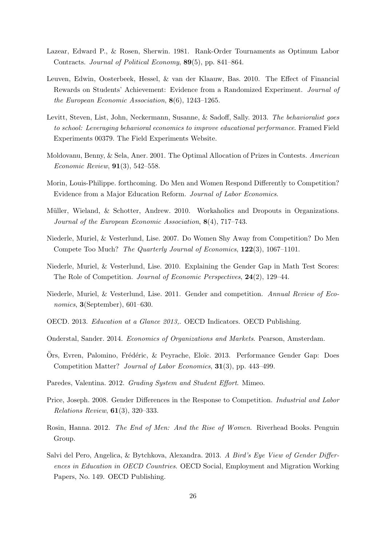- <span id="page-28-2"></span>Lazear, Edward P., & Rosen, Sherwin. 1981. Rank-Order Tournaments as Optimum Labor Contracts. Journal of Political Economy, 89(5), pp. 841–864.
- <span id="page-28-4"></span>Leuven, Edwin, Oosterbeek, Hessel, & van der Klaauw, Bas. 2010. The Effect of Financial Rewards on Students' Achievement: Evidence from a Randomized Experiment. Journal of the European Economic Association, 8(6), 1243–1265.
- <span id="page-28-14"></span>Levitt, Steven, List, John, Neckermann, Susanne, & Sadoff, Sally. 2013. The behavioralist goes to school: Leveraging behavioral economics to improve educational performance. Framed Field Experiments 00379. The Field Experiments Website.
- <span id="page-28-6"></span>Moldovanu, Benny, & Sela, Aner. 2001. The Optimal Allocation of Prizes in Contests. American Economic Review, 91(3), 542–558.
- <span id="page-28-11"></span>Morin, Louis-Philippe. forthcoming. Do Men and Women Respond Differently to Competition? Evidence from a Major Education Reform. Journal of Labor Economics.
- <span id="page-28-5"></span>Müller, Wieland, & Schotter, Andrew. 2010. Workaholics and Dropouts in Organizations. Journal of the European Economic Association, 8(4), 717–743.
- <span id="page-28-13"></span>Niederle, Muriel, & Vesterlund, Lise. 2007. Do Women Shy Away from Competition? Do Men Compete Too Much? The Quarterly Journal of Economics, 122(3), 1067–1101.
- <span id="page-28-15"></span>Niederle, Muriel, & Vesterlund, Lise. 2010. Explaining the Gender Gap in Math Test Scores: The Role of Competition. Journal of Economic Perspectives, 24(2), 129–44.
- <span id="page-28-8"></span>Niederle, Muriel, & Vesterlund, Lise. 2011. Gender and competition. Annual Review of Economics, 3(September), 601–630.
- <span id="page-28-3"></span>OECD. 2013. Education at a Glance 2013,. OECD Indicators. OECD Publishing.
- <span id="page-28-12"></span>Onderstal, Sander. 2014. Economics of Organizations and Markets. Pearson, Amsterdam.
- <span id="page-28-10"></span>Ors, Evren, Palomino, Frédéric, & Peyrache, Eloïc. 2013. Performance Gender Gap: Does Competition Matter? Journal of Labor Economics, 31(3), pp. 443–499.
- <span id="page-28-9"></span>Paredes, Valentina. 2012. Grading System and Student Effort. Mimeo.
- <span id="page-28-7"></span>Price, Joseph. 2008. Gender Differences in the Response to Competition. Industrial and Labor Relations Review, 61(3), 320–333.
- <span id="page-28-1"></span>Rosin, Hanna. 2012. The End of Men: And the Rise of Women. Riverhead Books. Penguin Group.
- <span id="page-28-0"></span>Salvi del Pero, Angelica, & Bytchkova, Alexandra. 2013. A Bird's Eye View of Gender Differences in Education in OECD Countries. OECD Social, Employment and Migration Working Papers, No. 149. OECD Publishing.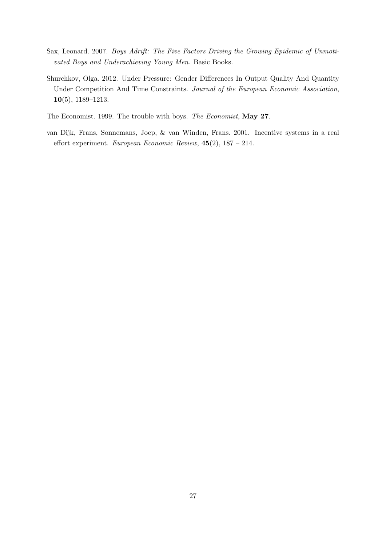- <span id="page-29-1"></span>Sax, Leonard. 2007. Boys Adrift: The Five Factors Driving the Growing Epidemic of Unmotivated Boys and Underachieving Young Men. Basic Books.
- <span id="page-29-3"></span>Shurchkov, Olga. 2012. Under Pressure: Gender Differences In Output Quality And Quantity Under Competition And Time Constraints. Journal of the European Economic Association, 10(5), 1189–1213.
- <span id="page-29-0"></span>The Economist. 1999. The trouble with boys. The Economist, May 27.
- <span id="page-29-2"></span>van Dijk, Frans, Sonnemans, Joep, & van Winden, Frans. 2001. Incentive systems in a real effort experiment. European Economic Review,  $45(2)$ ,  $187 - 214$ .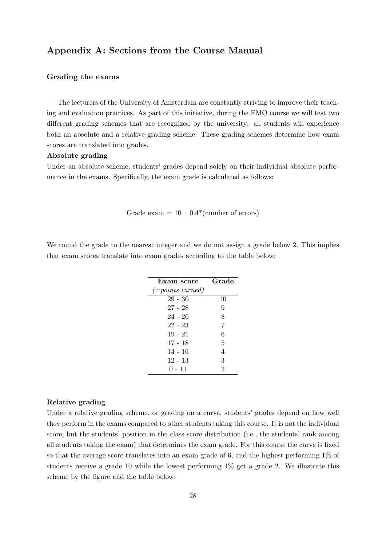### Appendix A: Sections from the Course Manual

#### Grading the exams

The lecturers of the University of Amsterdam are constantly striving to improve their teaching and evaluation practices. As part of this initiative, during the EMO course we will test two different grading schemes that are recognized by the university: all students will experience both an absolute and a relative grading scheme. These grading schemes determine how exam scores are translated into grades.

#### Absolute grading

Under an absolute scheme, students' grades depend solely on their individual absolute performance in the exams. Specifically, the exam grade is calculated as follows:

Grade exam  $= 10 - 0.4$ <sup>\*</sup>(number of errors)

We round the grade to the nearest integer and we do not assign a grade below 2. This implies that exam scores translate into exam grades according to the table below:

| Exam score             | Grade          |
|------------------------|----------------|
| $(= points \; earned)$ |                |
| $29 - 30$              | 10             |
| $27 - 28$              | 9              |
| $24 - 26$              | 8              |
| $22 - 23$              | 7              |
| $19 - 21$              | 6              |
| 17 - 18                | 5              |
| $14 - 16$              | $\overline{4}$ |
| $12 - 13$              | 3              |
| $0 - 11$               | $\overline{2}$ |

#### Relative grading

Under a relative grading scheme, or grading on a curve, students' grades depend on how well they perform in the exams compared to other students taking this course. It is not the individual score, but the students' position in the class score distribution (i.e., the students' rank among all students taking the exam) that determines the exam grade. For this course the curve is fixed so that the average score translates into an exam grade of 6, and the highest performing 1% of students receive a grade 10 while the lowest performing 1% get a grade 2. We illustrate this scheme by the figure and the table below: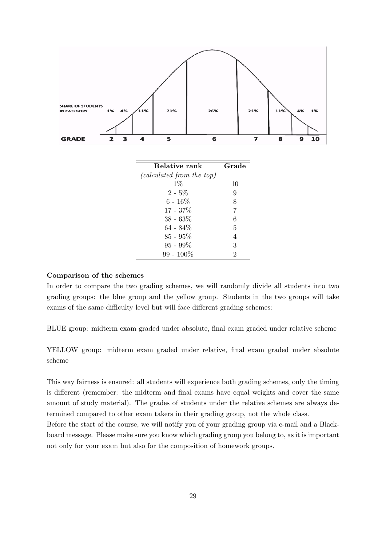

#### Comparison of the schemes

In order to compare the two grading schemes, we will randomly divide all students into two grading groups: the blue group and the yellow group. Students in the two groups will take exams of the same difficulty level but will face different grading schemes:

BLUE group: midterm exam graded under absolute, final exam graded under relative scheme

YELLOW group: midterm exam graded under relative, final exam graded under absolute scheme

This way fairness is ensured: all students will experience both grading schemes, only the timing is different (remember: the midterm and final exams have equal weights and cover the same amount of study material). The grades of students under the relative schemes are always determined compared to other exam takers in their grading group, not the whole class. Before the start of the course, we will notify you of your grading group via e-mail and a Blackboard message. Please make sure you know which grading group you belong to, as it is important not only for your exam but also for the composition of homework groups.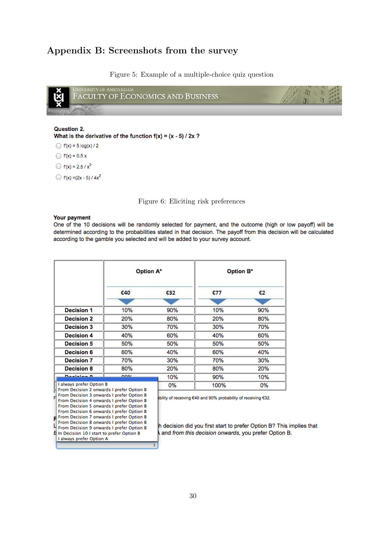## Appendix B: Screenshots from the survey

Figure 5: Example of a multiple-choice quiz question

<span id="page-32-1"></span>

Question 2. What is the derivative of the function  $f(x) = (x - 5) / 2x$ ?

 $f(x) = 5 \log(x) / 2$ 

 $f(x) = 0.5 x$ 

 $r(x) = 2.5 / x^2$ 

<span id="page-32-0"></span> $\bigcirc$  f(x) = (2x - 5) / 4x<sup>2</sup>

Figure 6: Eliciting risk preferences

#### Your payment

Level Becision 8 onwards I prefer Option B<br>From Decision 9 onwards I prefer Option B<br>A la Decision 10 Letast to assets Option B

b In Decision 10 I start to prefer Option B

I always prefer Option A

One of the 10 decisions will be randomly selected for payment, and the outcome (high or low payoff) will be determined according to the probabilities stated in that decision. The payoff from this decision will be calculated according to the gamble you selected and will be added to your survey account.

|                                                                                                                                                                                                                                    | <b>Option A*</b> |                                                               | <b>Option B*</b> |     |  |  |
|------------------------------------------------------------------------------------------------------------------------------------------------------------------------------------------------------------------------------------|------------------|---------------------------------------------------------------|------------------|-----|--|--|
|                                                                                                                                                                                                                                    | €40              | €32                                                           | £77              | €2  |  |  |
|                                                                                                                                                                                                                                    |                  |                                                               |                  |     |  |  |
| <b>Decision 1</b>                                                                                                                                                                                                                  | 10%              | 90%                                                           | 10%              | 90% |  |  |
| <b>Decision 2</b>                                                                                                                                                                                                                  | 20%              | 80%                                                           | 20%              | 80% |  |  |
| <b>Decision 3</b>                                                                                                                                                                                                                  | 30%              | 70%                                                           | 30%              | 70% |  |  |
| <b>Decision 4</b>                                                                                                                                                                                                                  | 40%              | 60%                                                           | 40%              | 60% |  |  |
| <b>Decision 5</b>                                                                                                                                                                                                                  | 50%              | 50%                                                           | 50%              | 50% |  |  |
| <b>Decision 6</b>                                                                                                                                                                                                                  | 60%              | 40%                                                           | 60%              | 40% |  |  |
| <b>Decision 7</b>                                                                                                                                                                                                                  | 70%              | 30%                                                           | 70%              | 30% |  |  |
| <b>Decision 8</b>                                                                                                                                                                                                                  | 80%              | 20%                                                           | 80%              | 20% |  |  |
| Dealains 0                                                                                                                                                                                                                         | nner             | 10%                                                           | 90%              | 10% |  |  |
| I always prefer Option B                                                                                                                                                                                                           |                  | 0%                                                            | 100%             | 0%  |  |  |
| From Decision 2 onwards I prefer Option B<br>From Decision 3 onwards I prefer Option B<br>F<br>From Decision 4 onwards I prefer Option B<br>From Decision 5 onwards I prefer Option B<br>From Decision 6 onwards I prefer Option B |                  | bility of receiving €40 and 90% probability of receiving €32. |                  |     |  |  |
| From Decision 7 onwards I prefer Option B<br>From Decision 8 onwards I prefer Option B                                                                                                                                             |                  | h deejoign did vou first start to profer Ontion P2 This       |                  |     |  |  |

h decision did you first start to prefer Option B? This implies that and from this decision onwards, you prefer Option B.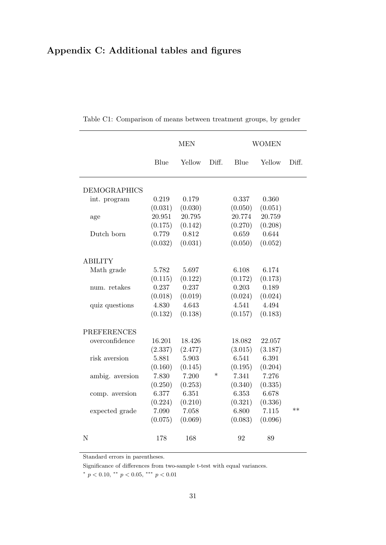## Appendix C: Additional tables and figures

|                     | <b>MEN</b> |         |        | <b>WOMEN</b> |         |       |
|---------------------|------------|---------|--------|--------------|---------|-------|
|                     | Blue       | Yellow  | Diff.  | Blue         | Yellow  | Diff. |
| <b>DEMOGRAPHICS</b> |            |         |        |              |         |       |
| int. program        | 0.219      | 0.179   |        | 0.337        | 0.360   |       |
|                     | (0.031)    | (0.030) |        | (0.050)      | (0.051) |       |
| age                 | 20.951     | 20.795  |        | 20.774       | 20.759  |       |
|                     | (0.175)    | (0.142) |        | (0.270)      | (0.208) |       |
| Dutch born          | 0.779      | 0.812   |        | 0.659        | 0.644   |       |
|                     | (0.032)    | (0.031) |        | (0.050)      | (0.052) |       |
| <b>ABILITY</b>      |            |         |        |              |         |       |
| Math grade          | 5.782      | 5.697   |        | 6.108        | 6.174   |       |
|                     | (0.115)    | (0.122) |        | (0.172)      | (0.173) |       |
| num. retakes        | 0.237      | 0.237   |        | 0.203        | 0.189   |       |
|                     | (0.018)    | (0.019) |        | (0.024)      | (0.024) |       |
| quiz questions      | 4.830      | 4.643   |        | 4.541        | 4.494   |       |
|                     | (0.132)    | (0.138) |        | (0.157)      | (0.183) |       |
| <b>PREFERENCES</b>  |            |         |        |              |         |       |
| overconfidence      | 16.201     | 18.426  |        | 18.082       | 22.057  |       |
|                     | (2.337)    | (2.477) |        | (3.015)      | (3.187) |       |
| risk aversion       | 5.881      | 5.903   |        | 6.541        | 6.391   |       |
|                     | (0.160)    | (0.145) |        | (0.195)      | (0.204) |       |
| ambig. aversion     | 7.830      | 7.200   | $\ast$ | 7.341        | 7.276   |       |
|                     | (0.250)    | (0.253) |        | (0.340)      | (0.335) |       |
| comp. aversion      | 6.377      | 6.351   |        | 6.353        | 6.678   |       |
|                     | (0.224)    | (0.210) |        | (0.321)      | (0.336) |       |
| expected grade      | 7.090      | 7.058   |        | 6.800        | 7.115   | $**$  |
|                     | (0.075)    | (0.069) |        | (0.083)      | (0.096) |       |
| N                   | 178        | 168     |        | 92           | 89      |       |

<span id="page-33-0"></span>Table C1: Comparison of means between treatment groups, by gender

Standard errors in parentheses.

Significance of differences from two-sample t-test with equal variances.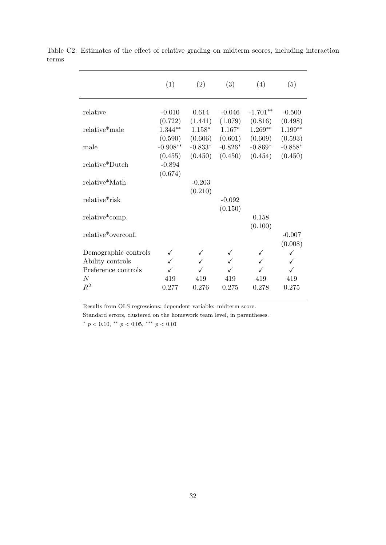|                                         | (1)                   | (2)                  | (3)                  | (4)                  | (5)                  |
|-----------------------------------------|-----------------------|----------------------|----------------------|----------------------|----------------------|
| relative                                | $-0.010$              | 0.614                | $-0.046$             | $-1.701**$           | $-0.500$             |
| relative*male                           | (0.722)<br>$1.344**$  | (1.441)<br>$1.158*$  | (1.079)<br>$1.167*$  | (0.816)<br>$1.269**$ | (0.498)<br>$1.199**$ |
| male                                    | (0.590)<br>$-0.908**$ | (0.606)<br>$-0.833*$ | (0.601)<br>$-0.826*$ | (0.609)<br>$-0.869*$ | (0.593)<br>$-0.858*$ |
| relative*Dutch                          | (0.455)<br>$-0.894$   | (0.450)              | (0.450)              | (0.454)              | (0.450)              |
| relative*Math                           | (0.674)               | $-0.203$             |                      |                      |                      |
| relative*risk                           |                       | (0.210)              | $-0.092$             |                      |                      |
| relative*comp.                          |                       |                      | (0.150)              | 0.158                |                      |
| relative*overconf.                      |                       |                      |                      | (0.100)              | $-0.007$             |
| Demographic controls                    |                       |                      |                      | ✓                    | (0.008)<br>✓         |
| Ability controls<br>Preference controls |                       |                      |                      |                      | ✓                    |
| N<br>$R^2$                              | 419<br>0.277          | 419<br>0.276         | 419<br>0.275         | 419<br>0.278         | 419<br>0.275         |

<span id="page-34-0"></span>Table C2: Estimates of the effect of relative grading on midterm scores, including interaction terms

Results from OLS regressions; dependent variable: midterm score.

Standard errors, clustered on the homework team level, in parentheses. \*  $p < 0.10,$  \*\*  $p < 0.05,$  \*\*\*  $p < 0.01$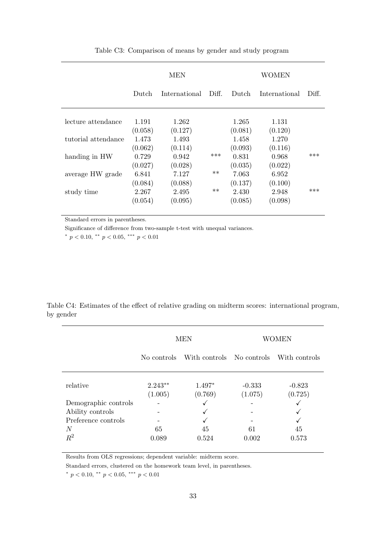<span id="page-35-0"></span>

|                     | <b>MEN</b>       |                  |       | WOMEN            |                  |       |  |
|---------------------|------------------|------------------|-------|------------------|------------------|-------|--|
|                     | Dutch            | International    | Diff. | Dutch            | International    | Diff. |  |
| lecture attendance  | 1.191<br>(0.058) | 1.262<br>(0.127) |       | 1.265<br>(0.081) | 1.131<br>(0.120) |       |  |
| tutorial attendance | 1.473<br>(0.062) | 1.493<br>(0.114) |       | 1.458<br>(0.093) | 1.270<br>(0.116) |       |  |
| handing in HW       | 0.729<br>(0.027) | 0.942<br>(0.028) | ***   | 0.831<br>(0.035) | 0.968<br>(0.022) | ***   |  |
| average HW grade    | 6.841<br>(0.084) | 7.127<br>(0.088) | $**$  | 7.063<br>(0.137) | 6.952<br>(0.100) |       |  |
| study time          | 2.267<br>(0.054) | 2.495<br>(0.095) | $***$ | 2.430<br>(0.085) | 2.948<br>(0.098) | ***   |  |

Table C3: Comparison of means by gender and study program

Standard errors in parentheses.

Significance of difference from two-sample t-test with unequal variances.

\*  $p < 0.10,$  \*\*  $p < 0.05,$  \*\*\*  $p < 0.01$ 

<span id="page-35-1"></span>

|           |  |  |  |  | Table C4: Estimates of the effect of relative grading on midterm scores: international program, |  |
|-----------|--|--|--|--|-------------------------------------------------------------------------------------------------|--|
| by gender |  |  |  |  |                                                                                                 |  |

|                      |                      | <b>MEN</b>                | <b>WOMEN</b>        |                     |  |
|----------------------|----------------------|---------------------------|---------------------|---------------------|--|
|                      | No controls          | With controls No controls |                     | With controls       |  |
| relative             | $2.243**$<br>(1.005) | $1.497*$<br>(0.769)       | $-0.333$<br>(1.075) | $-0.823$<br>(0.725) |  |
| Demographic controls |                      |                           |                     |                     |  |
| Ability controls     |                      |                           |                     |                     |  |
| Preference controls  |                      |                           |                     |                     |  |
| N                    | 65                   | 45                        | 61                  | 45                  |  |
| $R^2$                | 0.089                | 0.524                     | 0.002               | 0.573               |  |

Results from OLS regressions; dependent variable: midterm score.

Standard errors, clustered on the homework team level, in parentheses.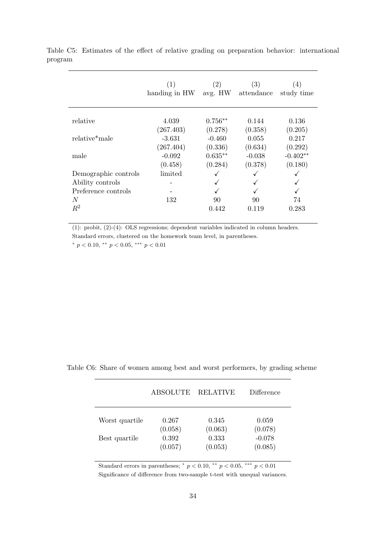|                            | (1)<br>handing in HW | $\left( 2\right)$<br>avg. HW | (3)<br>attendance | (4)<br>study time |
|----------------------------|----------------------|------------------------------|-------------------|-------------------|
| relative                   | 4.039                | $0.756**$                    | 0.144             | 0.136             |
|                            | (267.403)            | (0.278)                      | (0.358)           | (0.205)           |
| relative <sup>*</sup> male | $-3.631$             | $-0.460$                     | 0.055             | 0.217             |
|                            | (267.404)            | (0.336)                      | (0.634)           | (0.292)           |
| male                       | $-0.092$             | $0.635**$                    | $-0.038$          | $-0.402**$        |
|                            | (0.458)              | (0.284)                      | (0.378)           | (0.180)           |
| Demographic controls       | limited              | √                            |                   |                   |
| Ability controls           |                      |                              |                   |                   |
| Preference controls        |                      |                              |                   |                   |
| N                          | 132                  | 90                           | 90                | 74                |
| $R^2$                      |                      | 0.442                        | 0.119             | 0.283             |

<span id="page-36-0"></span>Table C5: Estimates of the effect of relative grading on preparation behavior: international program

(1): probit, (2)-(4): OLS regressions; dependent variables indicated in column headers. Standard errors, clustered on the homework team level, in parentheses.

\*  $p < 0.10,$  \*\*  $p < 0.05,$  \*\*\*  $p < 0.01$ 

|                | ABSOLUTE | <b>RELATIVE</b> | <b>Difference</b> |
|----------------|----------|-----------------|-------------------|
| Worst quartile | 0.267    | 0.345           | 0.059             |
|                | (0.058)  | (0.063)         | (0.078)           |
| Best quartile  | 0.392    | 0.333           | $-0.078$          |
|                | (0.057)  | (0.053)         | (0.085)           |

<span id="page-36-1"></span>Table C6: Share of women among best and worst performers, by grading scheme

Standard errors in parentheses;  $* p < 0.10$ ,  $** p < 0.05$ ,  $** p < 0.01$ 

Significance of difference from two-sample t-test with unequal variances.